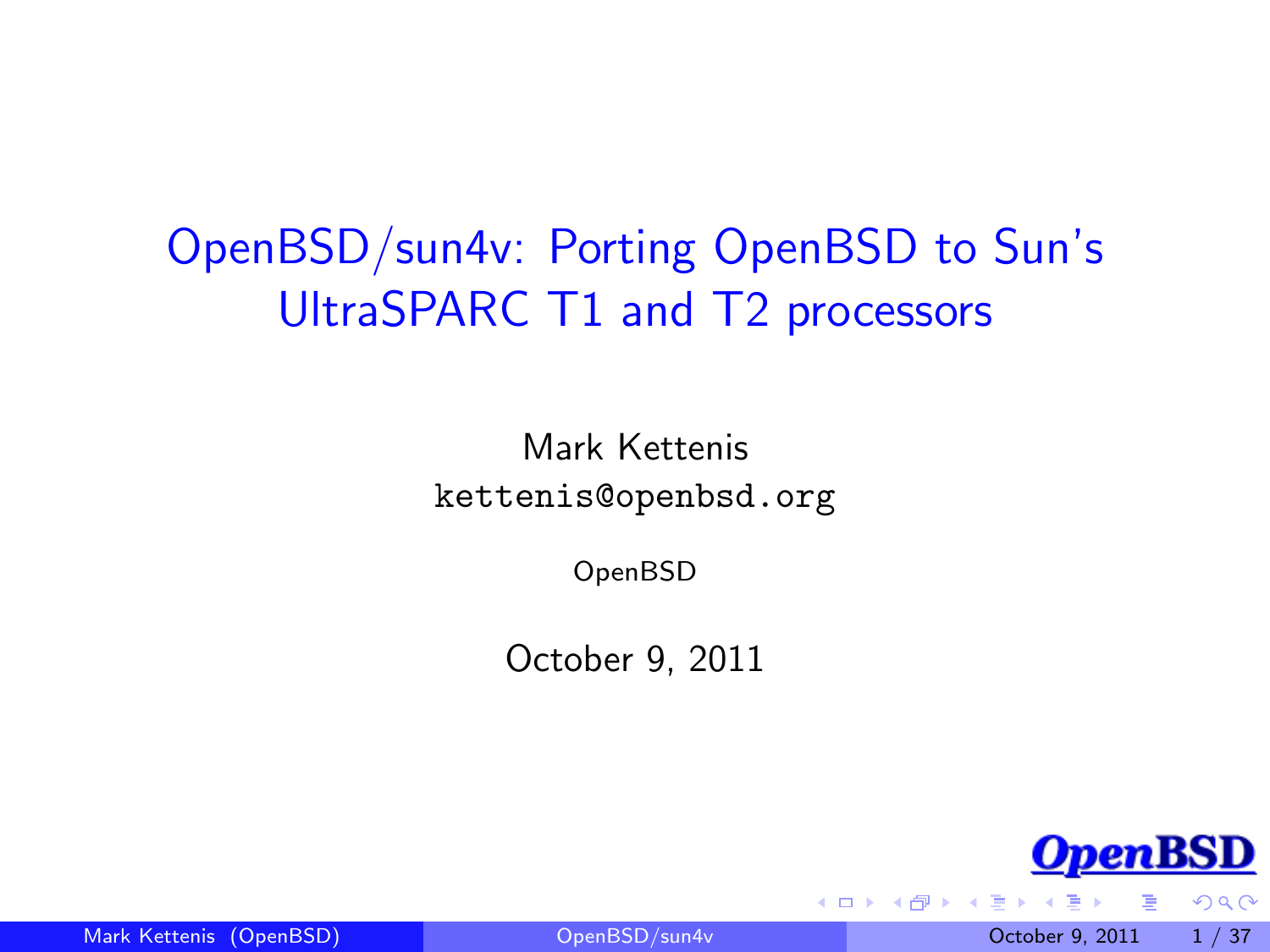# OpenBSD/sun4v: Porting OpenBSD to Sun's UltraSPARC T1 and T2 processors

Mark Kettenis kettenis@openbsd.org

OpenBSD

October 9, 2011



<span id="page-0-0"></span> $QQ$ 

Mark Kettenis (OpenBSD) [OpenBSD/sun4v](#page-36-0) October 9, 2011 1 / 37

4 0 8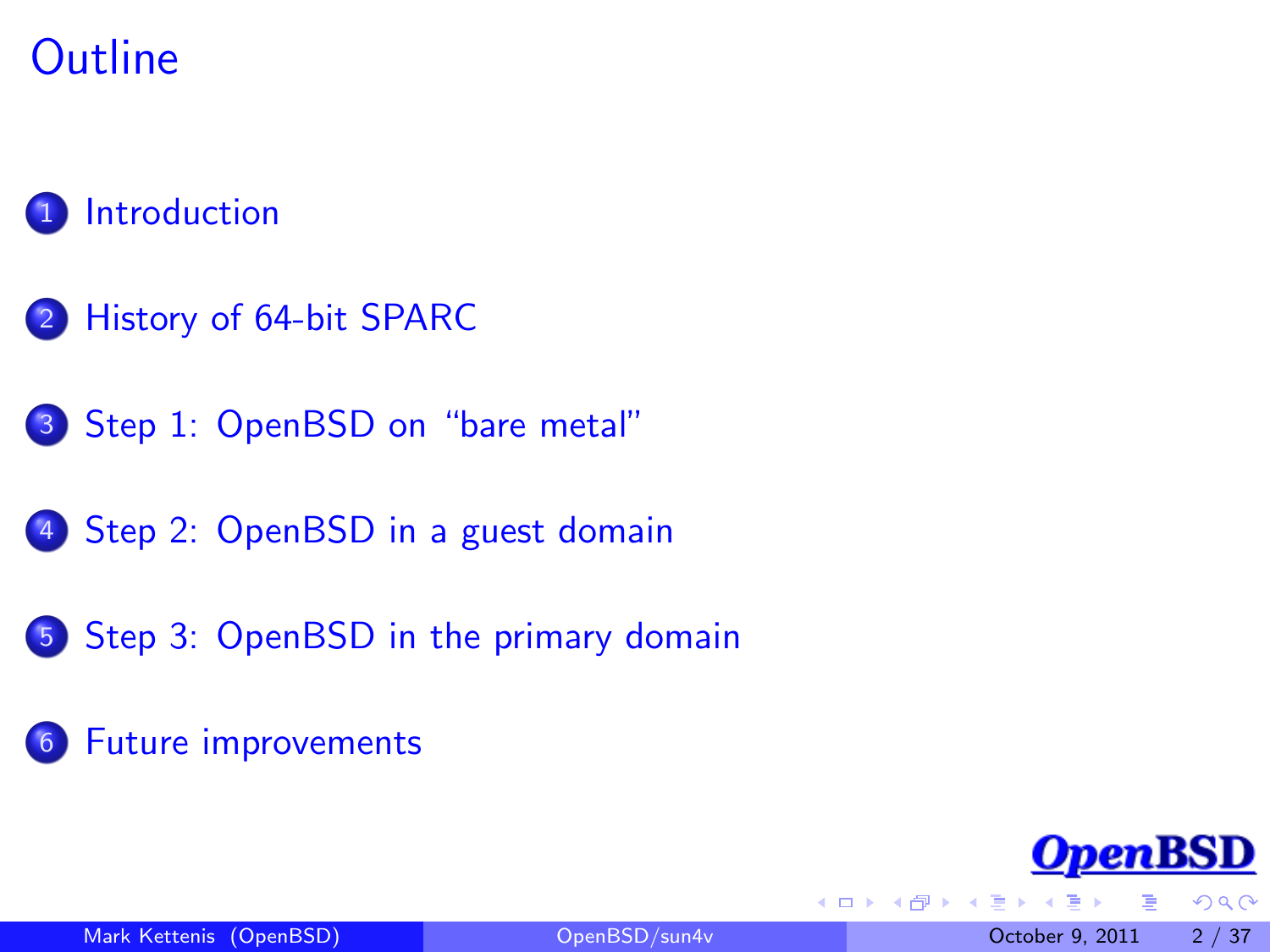## **Outline**

#### **[Introduction](#page-2-0)**

- 2 [History of 64-bit SPARC](#page-3-0)
- 3 [Step 1: OpenBSD on "bare metal"](#page-8-0)
- 4 [Step 2: OpenBSD in a guest domain](#page-15-0)
- 5 [Step 3: OpenBSD in the primary domain](#page-23-0)
- 6 [Future improvements](#page-30-0)



 $QQ$ 

4 0 8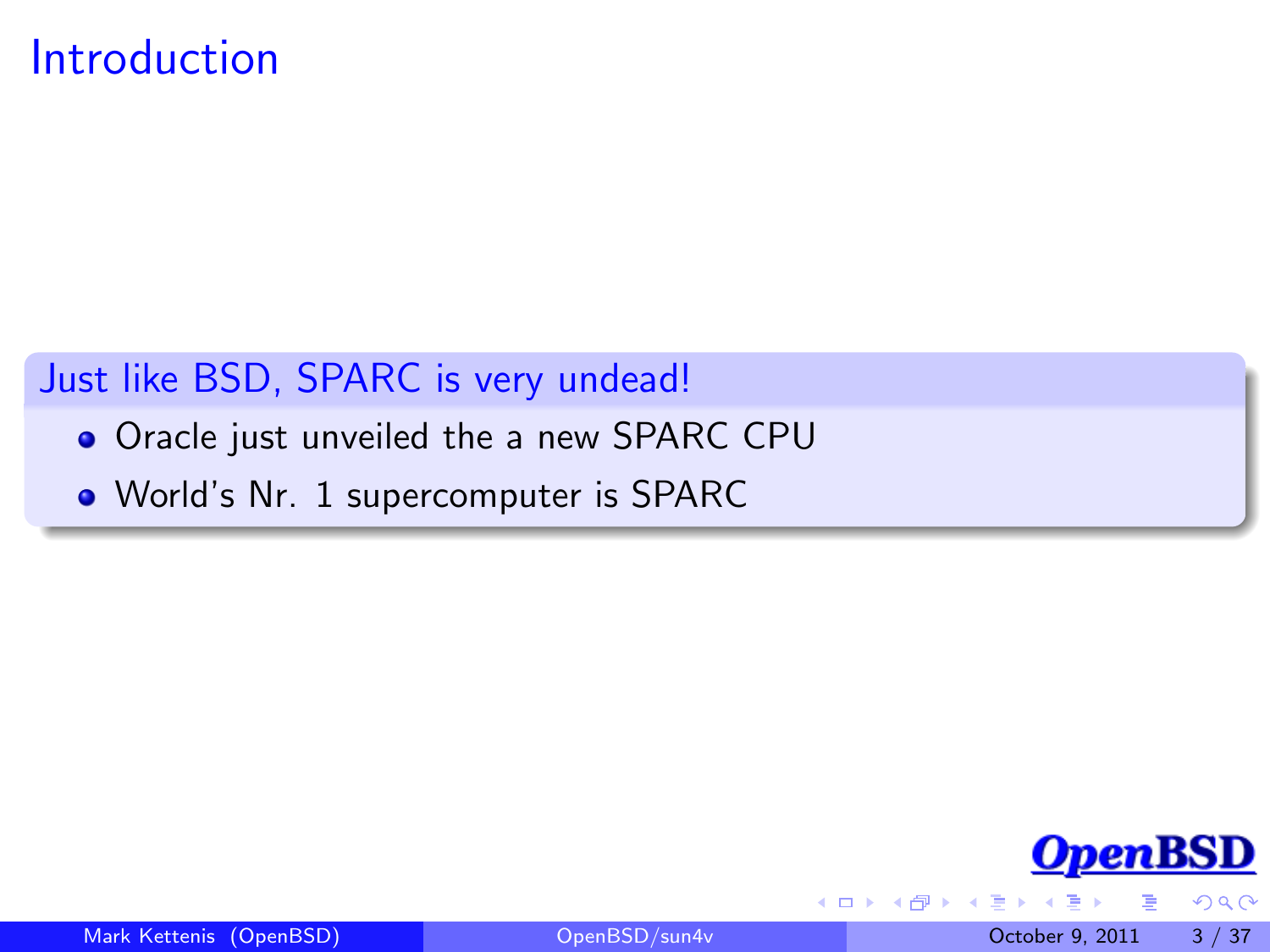#### Introduction

#### Just like BSD, SPARC is very undead!

- **.** Oracle just unveiled the a new SPARC CPU
- World's Nr. 1 supercomputer is SPARC



<span id="page-2-0"></span> $QQ$ 

 $\leftarrow$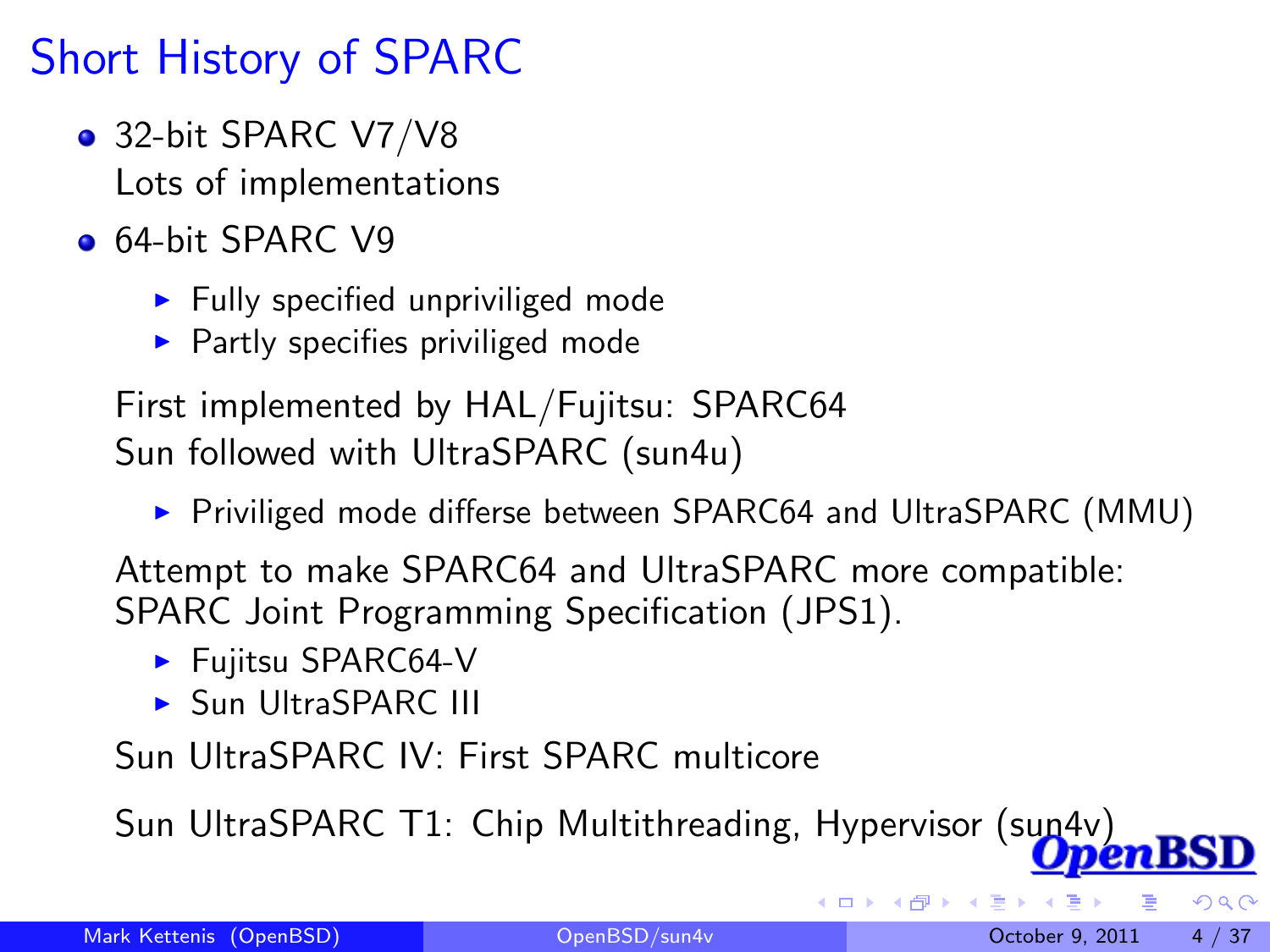# Short History of SPARC

- 32-bit SPARC V7/V8 Lots of implementations
- **64-bit SPARC V9** 
	- $\blacktriangleright$  Fully specified unpriviliged mode
	- $\blacktriangleright$  Partly specifies priviliged mode

First implemented by HAL/Fujitsu: SPARC64 Sun followed with UltraSPARC (sun4u)

▶ Priviliged mode differse between SPARC64 and UltraSPARC (MMU)

Attempt to make SPARC64 and UltraSPARC more compatible: SPARC Joint Programming Specification (JPS1).

- $\blacktriangleright$  Fujitsu SPARC64-V
- <span id="page-3-0"></span>**B** Sun UltraSPARC III

Sun UltraSPARC IV: First SPARC multicore

Sun UltraSPARC T1: Chip Multithreading, Hypervisor (sun4v)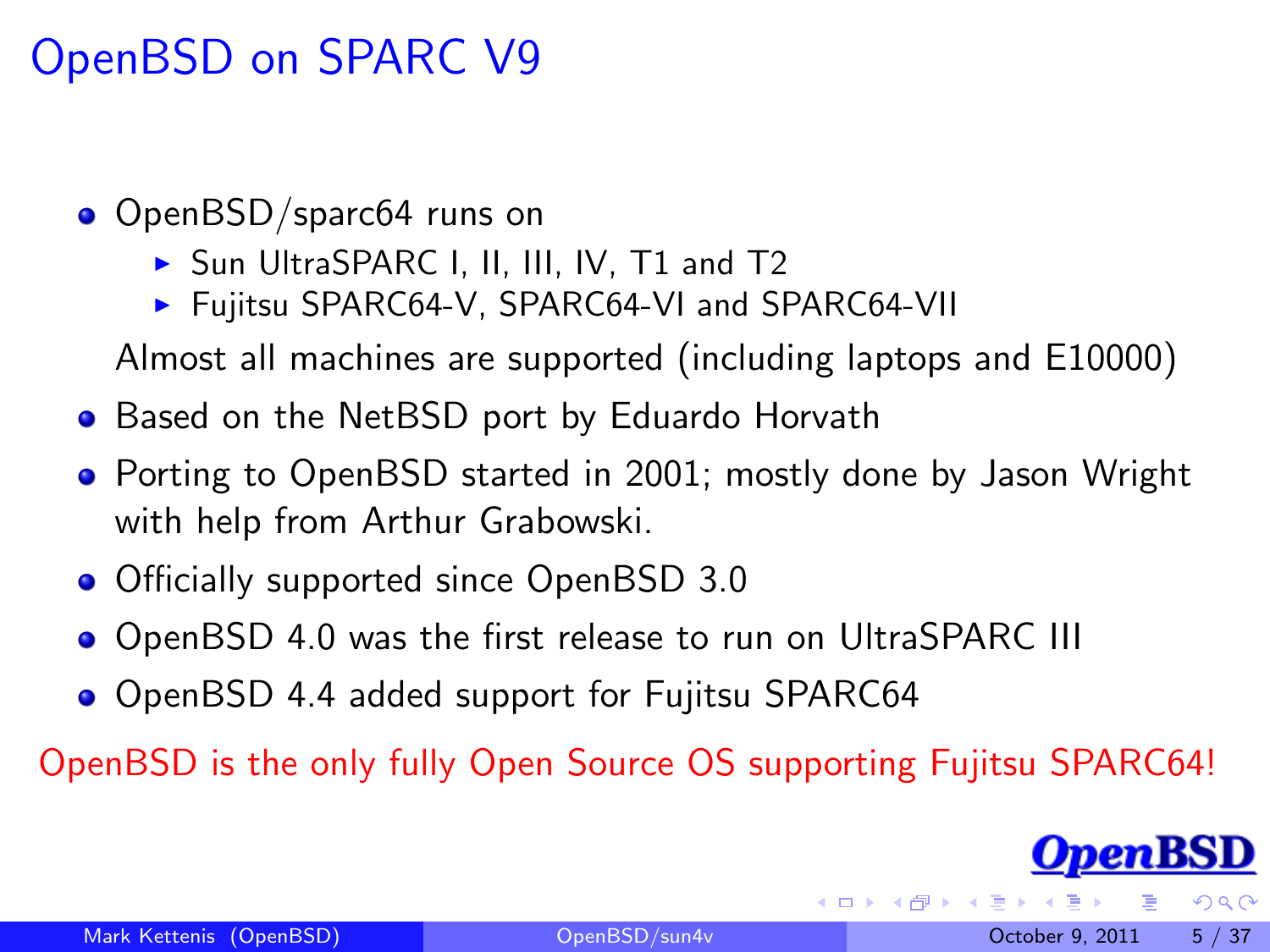## OpenBSD on SPARC V9

- OpenBSD/sparc64 runs on
	- ▶ Sun UltraSPARC I, II, III, IV, T1 and T2
	- ▶ Fujitsu SPARC64-V, SPARC64-VI and SPARC64-VII

Almost all machines are supported (including laptops and E10000)

- **•** Based on the NetBSD port by Eduardo Horvath
- **Porting to OpenBSD started in 2001; mostly done by Jason Wright** with help from Arthur Grabowski.
- **Officially supported since OpenBSD 3.0**
- OpenBSD 4.0 was the first release to run on UltraSPARC III
- OpenBSD 4.4 added support for Fujitsu SPARC64

OpenBSD is the only fully Open Source OS supporting Fujitsu SPARC64!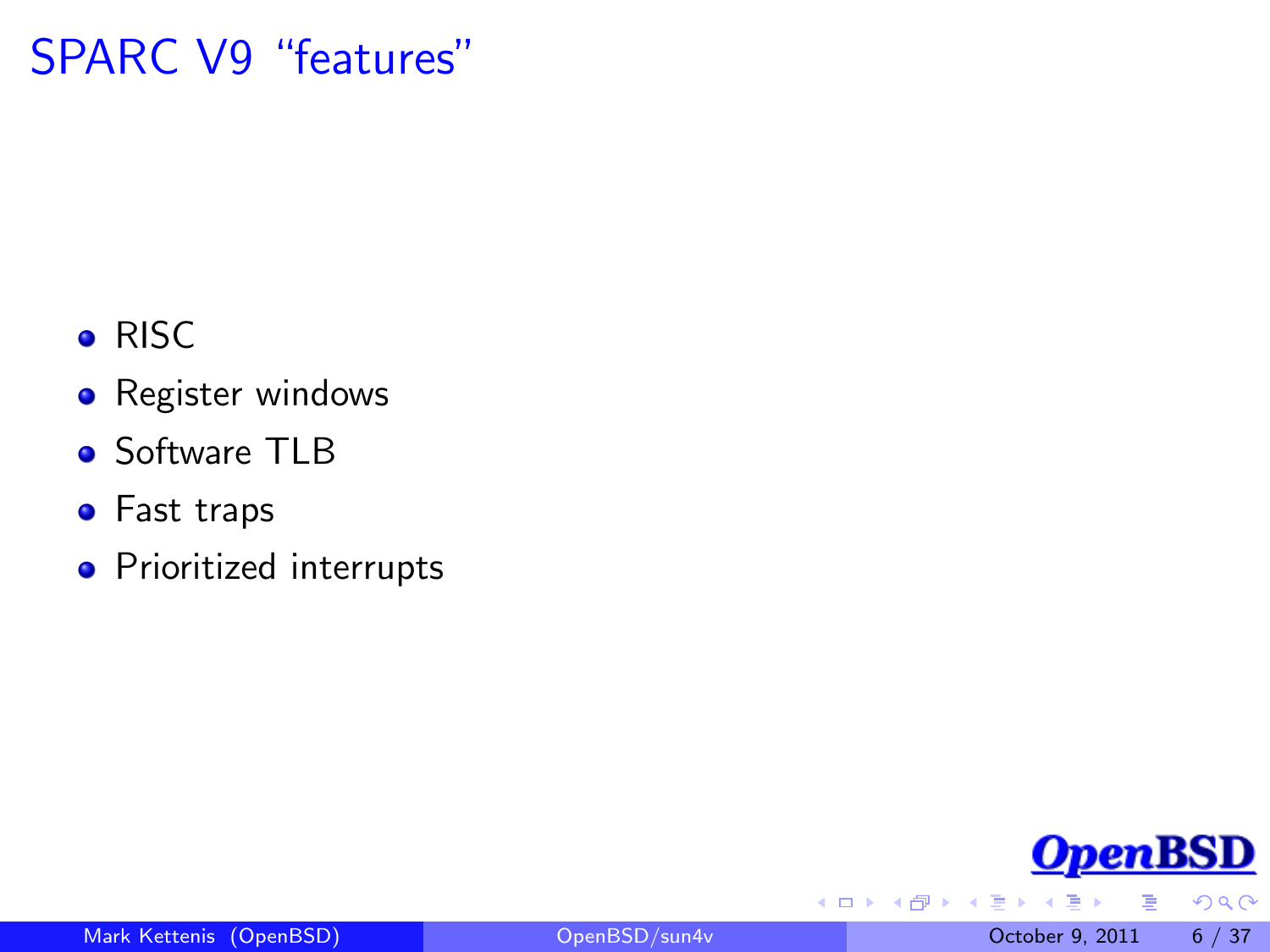## SPARC V9 "features"

- **•** RISC
- **•** Register windows
- Software TLB
- **•** Fast traps
- **•** Prioritized interrupts



 $2990$ 

4 **D** F

同 ▶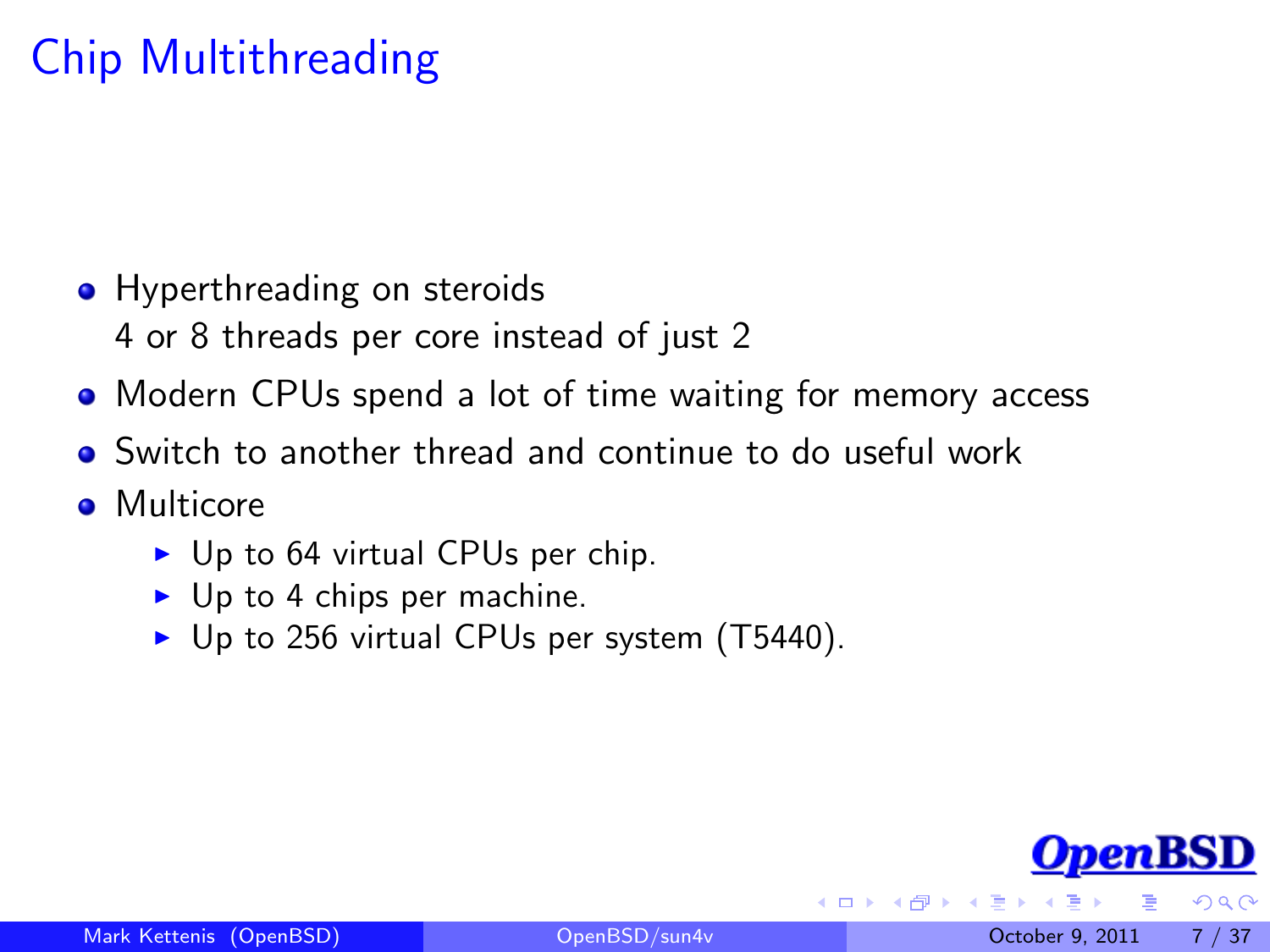# Chip Multithreading

- Hyperthreading on steroids
	- 4 or 8 threads per core instead of just 2
- Modern CPUs spend a lot of time waiting for memory access
- Switch to another thread and continue to do useful work
- **•** Multicore
	- $\triangleright$  Up to 64 virtual CPUs per chip.
	- $\triangleright$  Up to 4 chips per machine.
	- $\triangleright$  Up to 256 virtual CPUs per system (T5440).

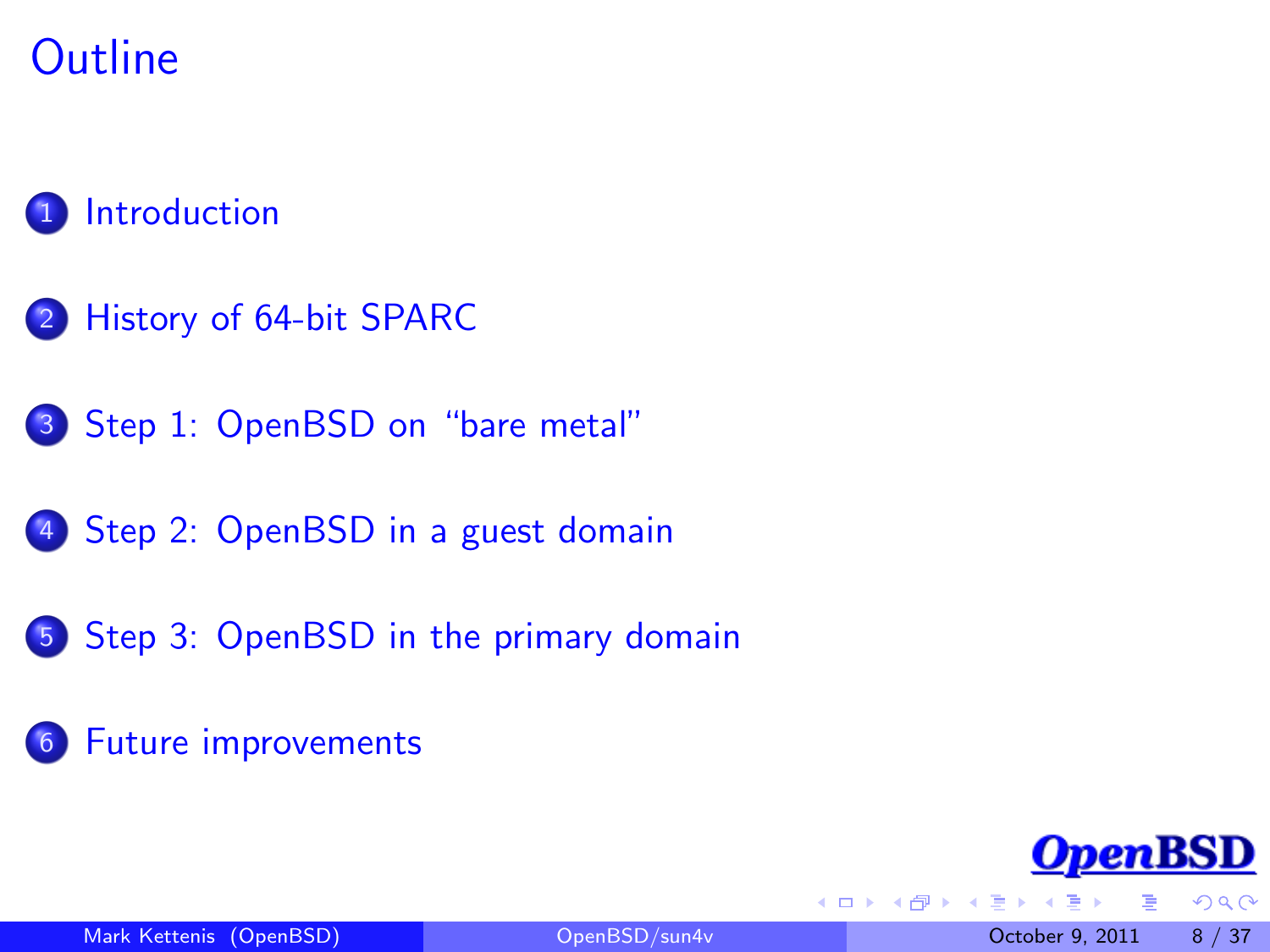## **Outline**

#### **[Introduction](#page-2-0)**

- 2 [History of 64-bit SPARC](#page-3-0)
- 3 [Step 1: OpenBSD on "bare metal"](#page-8-0)
- 4 [Step 2: OpenBSD in a guest domain](#page-15-0)
- 5 [Step 3: OpenBSD in the primary domain](#page-23-0)
- 6 [Future improvements](#page-30-0)



 $\Omega$ 

4 0 8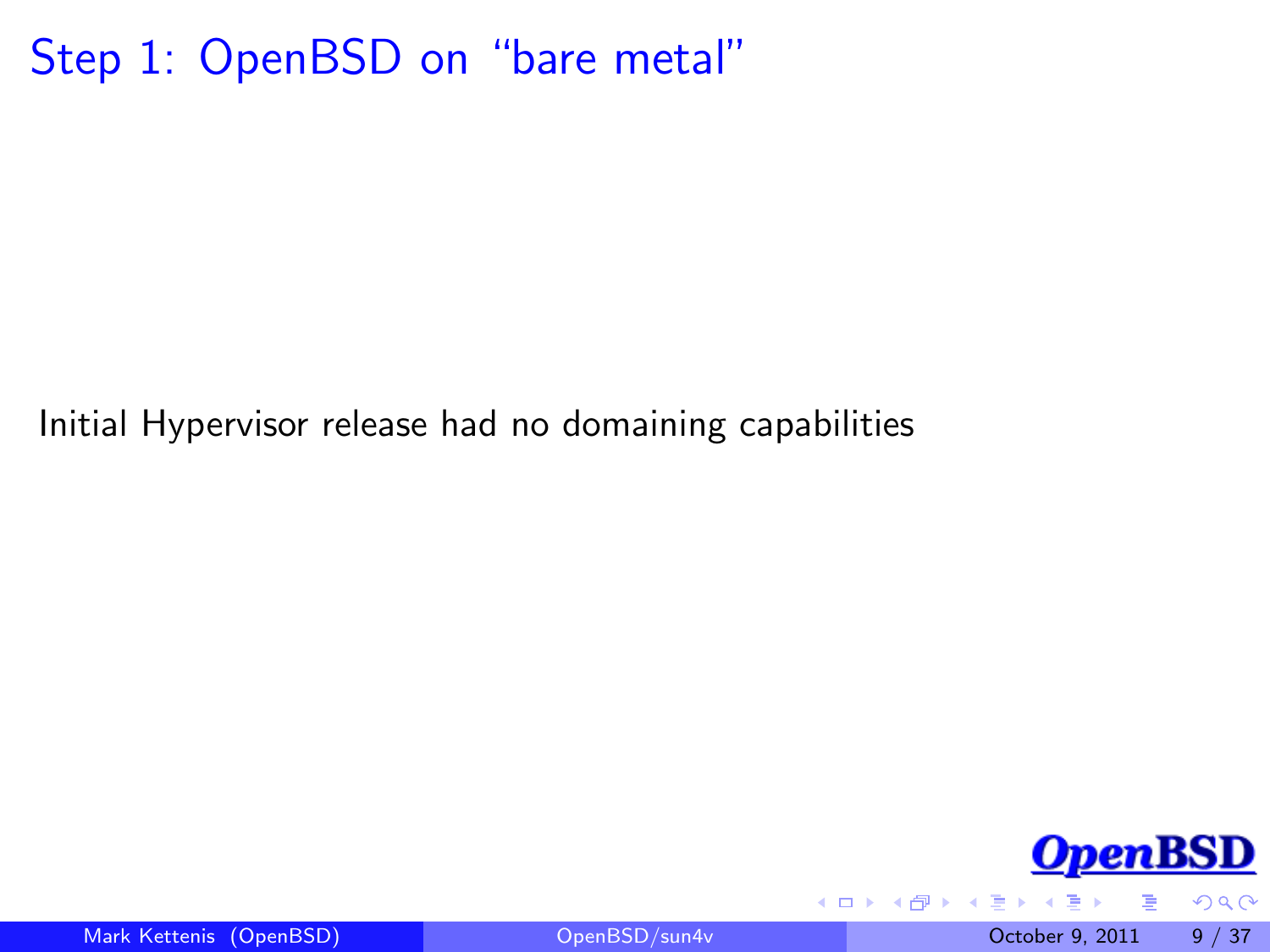#### Step 1: OpenBSD on "bare metal"

Initial Hypervisor release had no domaining capabilities



<span id="page-8-0"></span> $QQ$ 

Mark Kettenis (OpenBSD) [OpenBSD/sun4v](#page-0-0) October 9, 2011 9 / 37

4 0 8

n ⊱ 1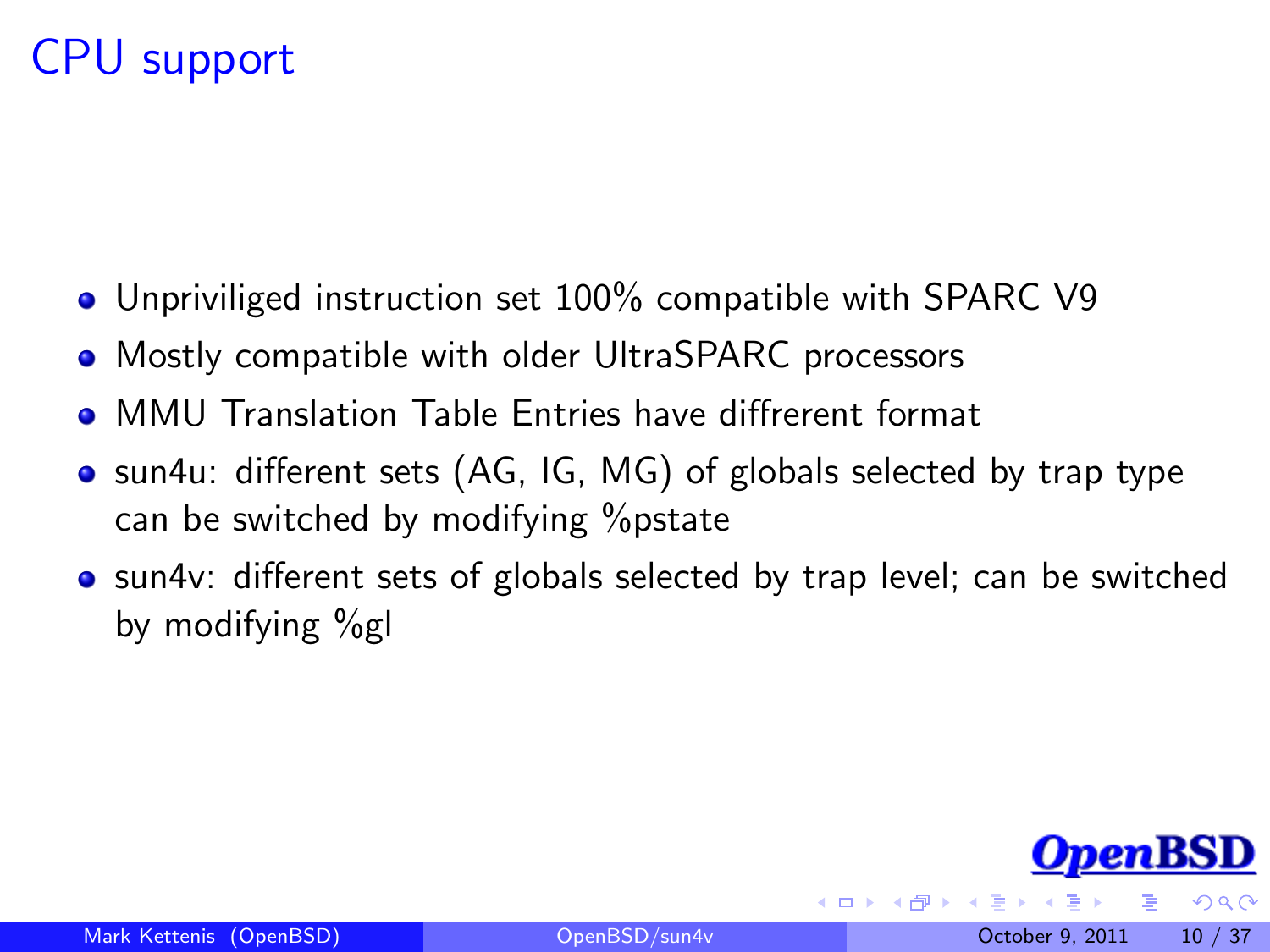#### CPU support

- Unpriviliged instruction set 100% compatible with SPARC V9
- Mostly compatible with older UltraSPARC processors
- MMU Translation Table Entries have diffrerent format
- sun4u: different sets (AG, IG, MG) of globals selected by trap type can be switched by modifying %pstate
- sun4v: different sets of globals selected by trap level; can be switched by modifying %gl

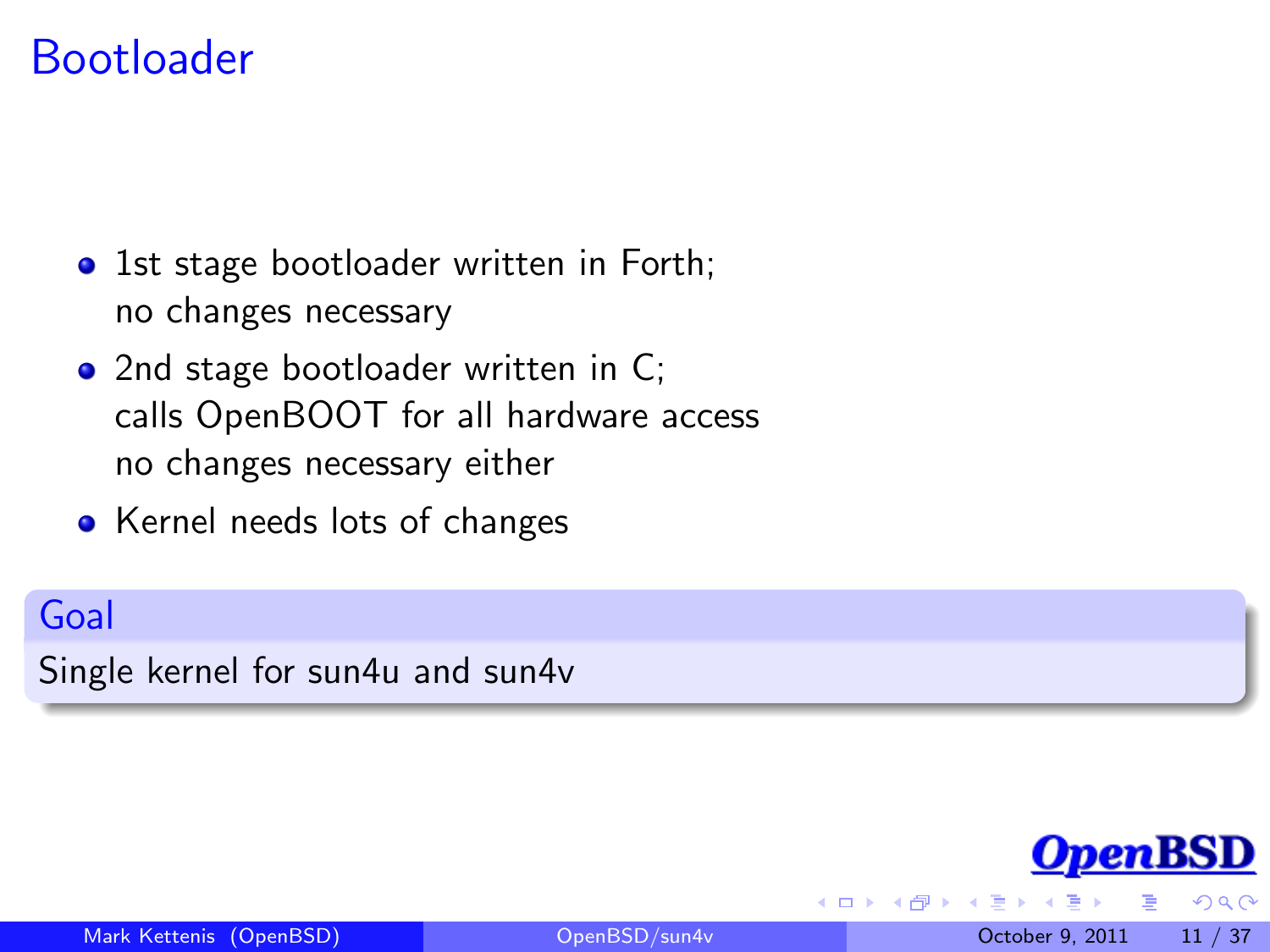#### Bootloader

- 1st stage bootloader written in Forth; no changes necessary
- 2nd stage bootloader written in C; calls OpenBOOT for all hardware access no changes necessary either
- Kernel needs lots of changes

#### Goal

Single kernel for sun4u and sun4v

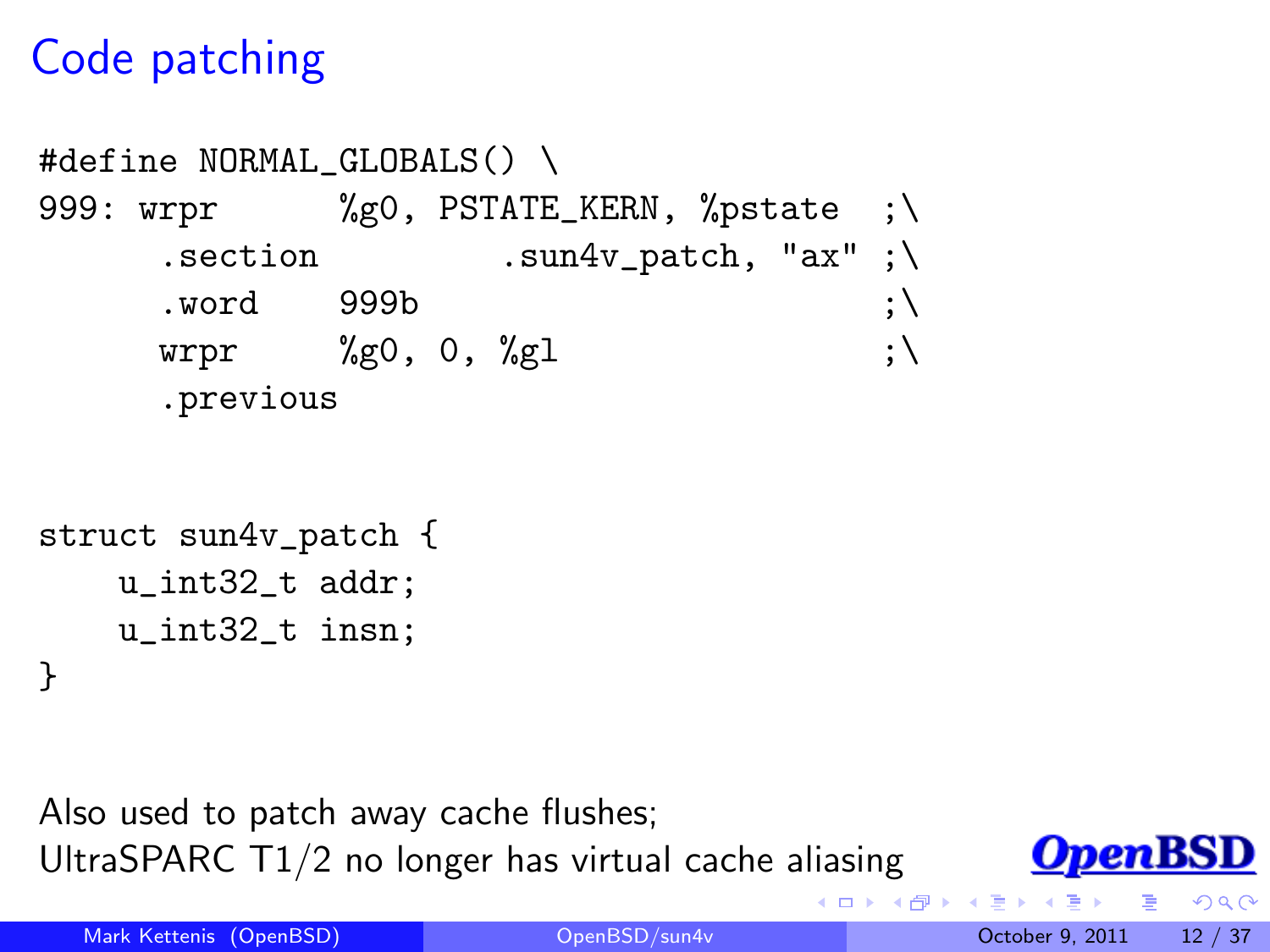## Code patching

```
#define NORMAL_GLOBALS() \
999: wrpr %g0, PSTATE_KERN, %pstate ;\
    .section .sun4v_patch, "ax" ;\
    . word 999b ;
    wrpr \%g0, 0, \%g1 ; \
    .previous
```

```
struct sun4v_patch {
    u_int32_t addr;
    u_int32_t insn;
}
```
Also used to patch away cache flushes; UltraSPARC T1/2 no longer has virtual cache aliasing



 $290$ 

4 **D** F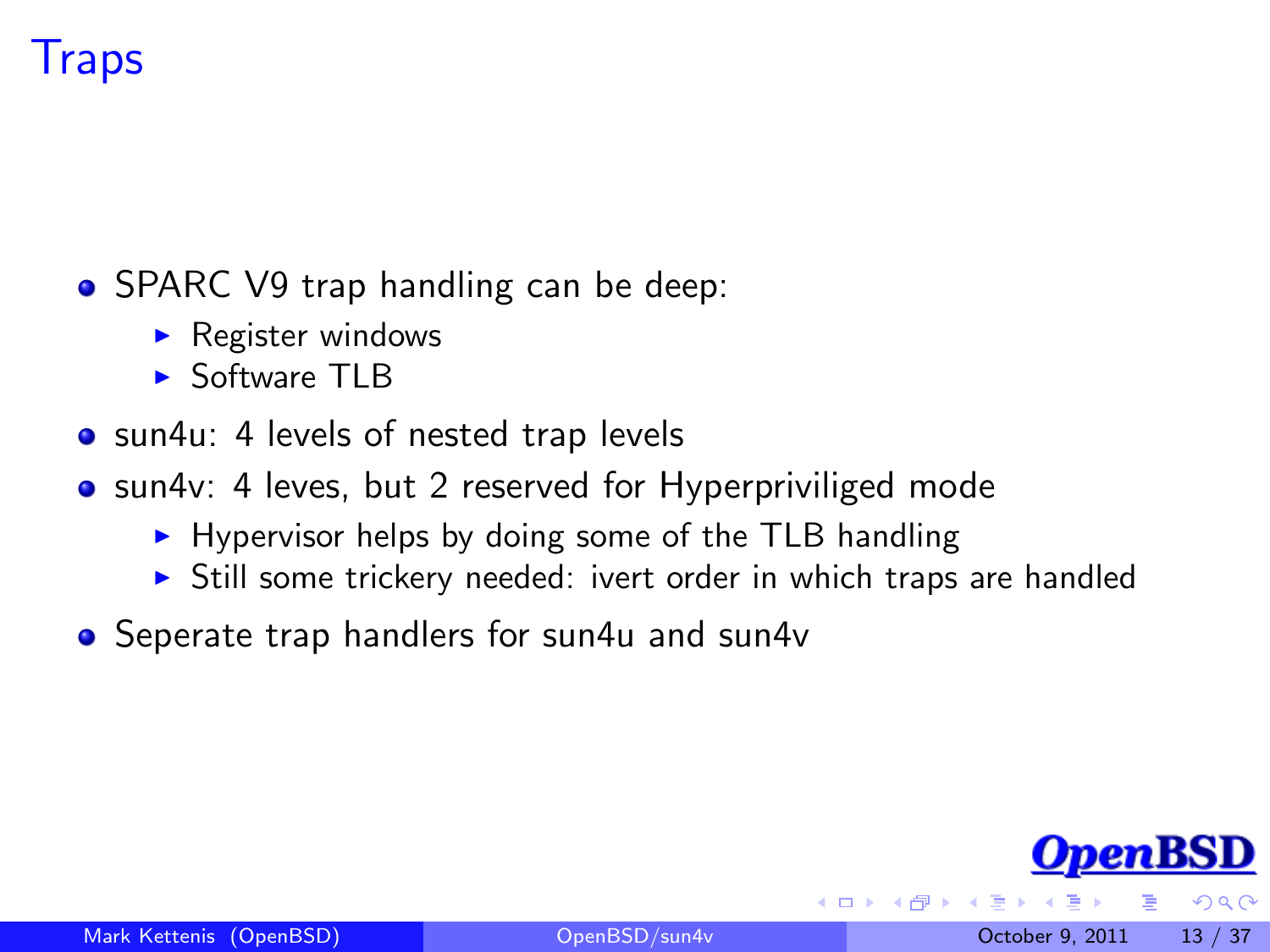## **Traps**

- SPARC V9 trap handling can be deep:
	- $\triangleright$  Register windows
	- $\triangleright$  Software TLB
- sun4u: 4 levels of nested trap levels
- sun4v: 4 leves, but 2 reserved for Hyperpriviliged mode
	- $\blacktriangleright$  Hypervisor helps by doing some of the TLB handling
	- $\triangleright$  Still some trickery needed: ivert order in which traps are handled
- Seperate trap handlers for sun4u and sun4v



 $\Omega$ 

4 **D** F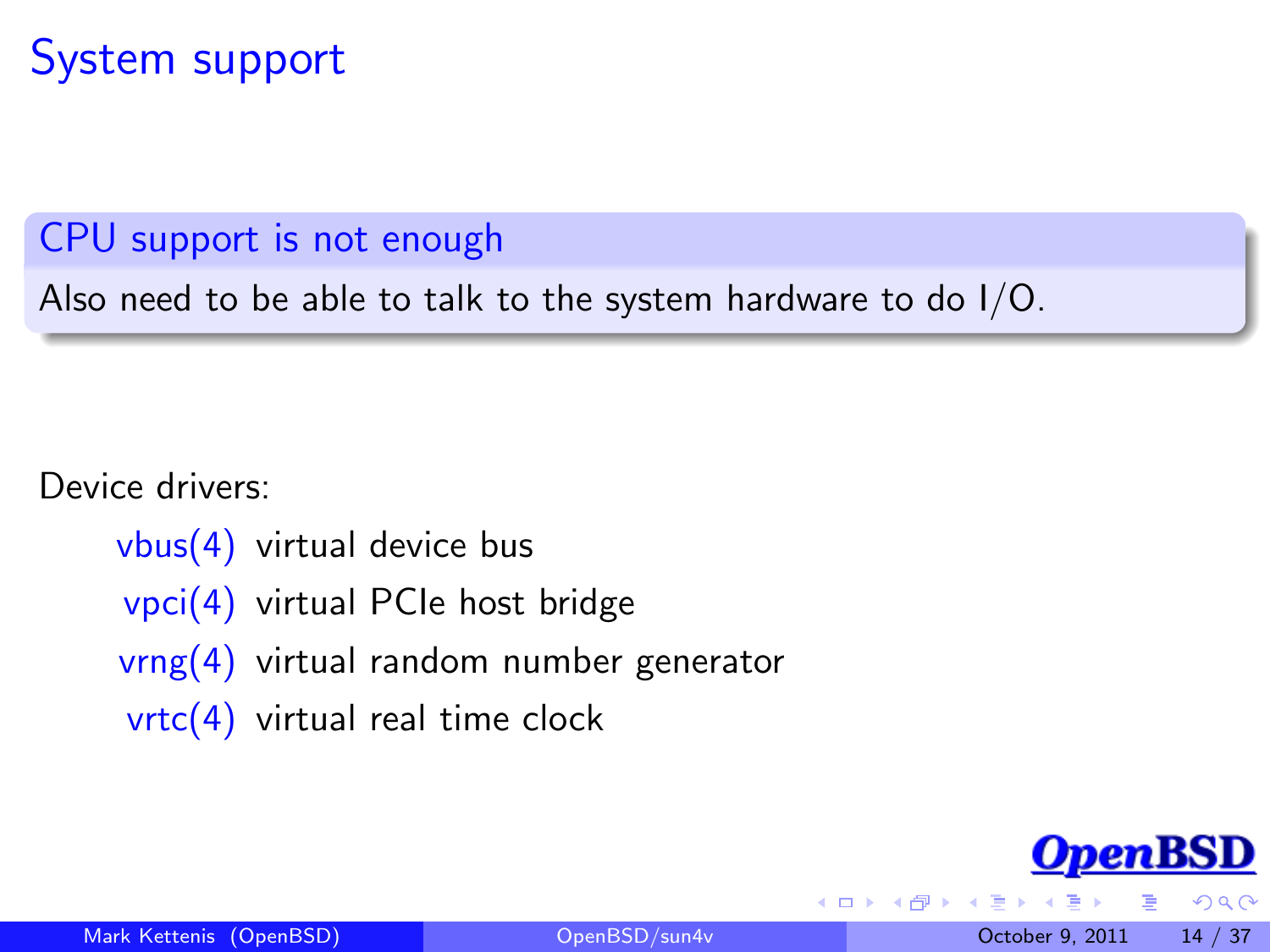#### System support

#### CPU support is not enough

Also need to be able to talk to the system hardware to do I/O.

#### Device drivers:

vbus(4) virtual device bus vpci(4) virtual PCIe host bridge vrng(4) virtual random number generator  $vrtc(4)$  virtual real time clock

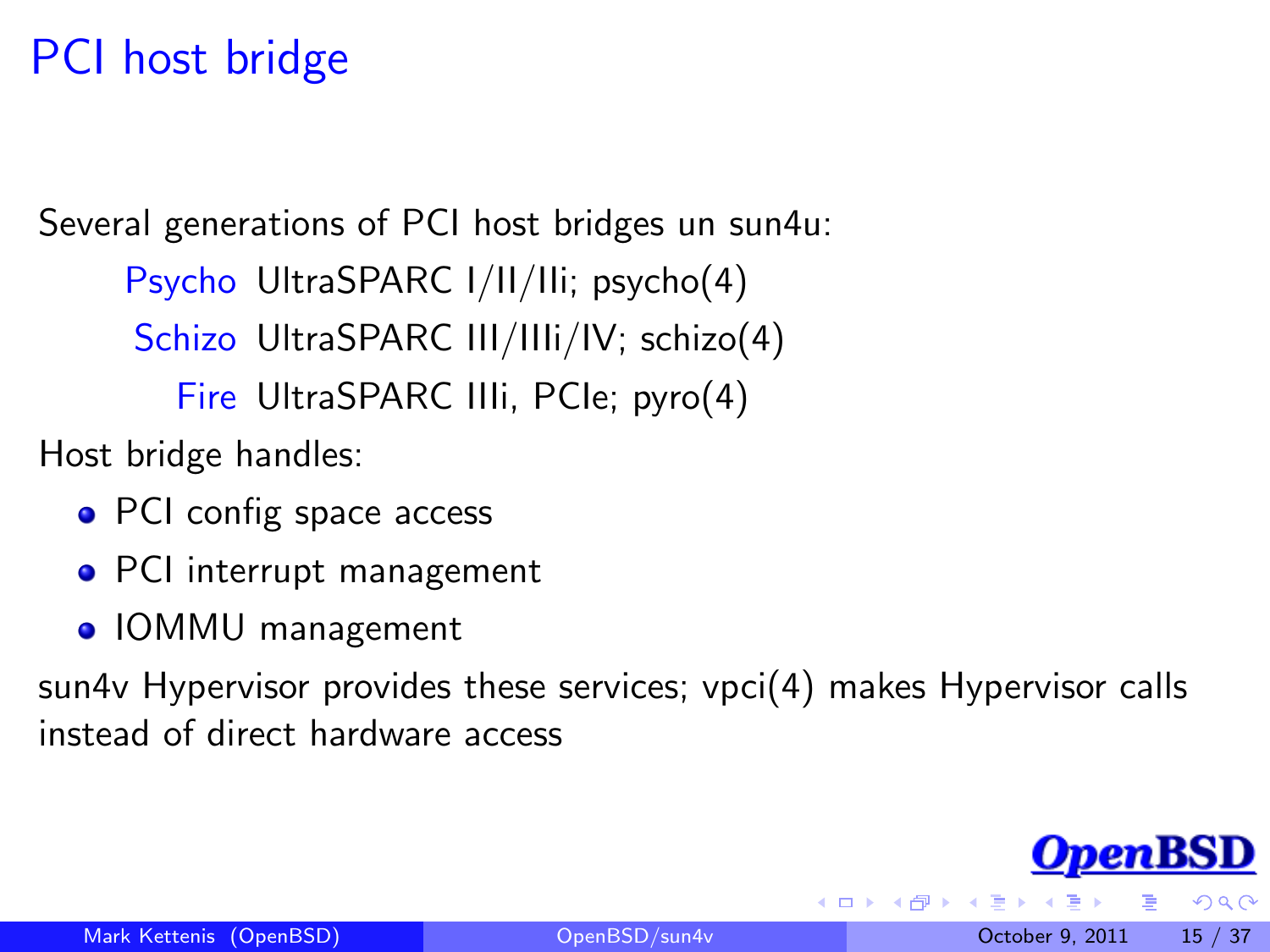## PCI host bridge

Several generations of PCI host bridges un sun4u:

Psycho UltraSPARC I/II/IIi; psycho(4)

Schizo UltraSPARC III/IIIi/IV; schizo(4)

Fire UltraSPARC IIIi, PCIe; pyro(4)

Host bridge handles:

- PCI config space access
- PCI interrupt management
- IOMMU management

sun4v Hypervisor provides these services; vpci(4) makes Hypervisor calls instead of direct hardware access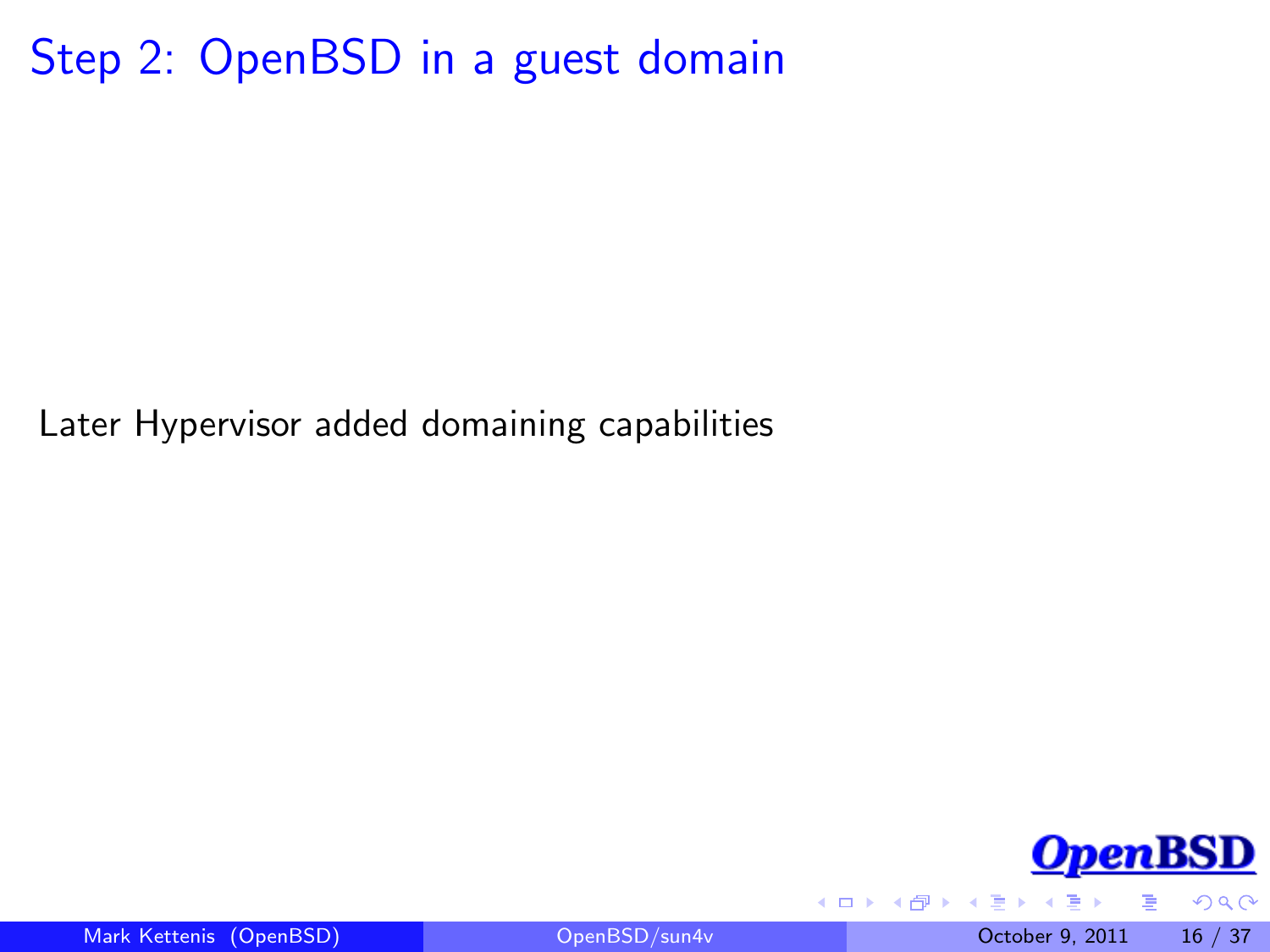Step 2: OpenBSD in a guest domain

Later Hypervisor added domaining capabilities



<span id="page-15-0"></span> $QQ$ 

Mark Kettenis (OpenBSD) [OpenBSD/sun4v](#page-0-0) October 9, 2011 16 / 37

4 **D** F

n ⊱ 1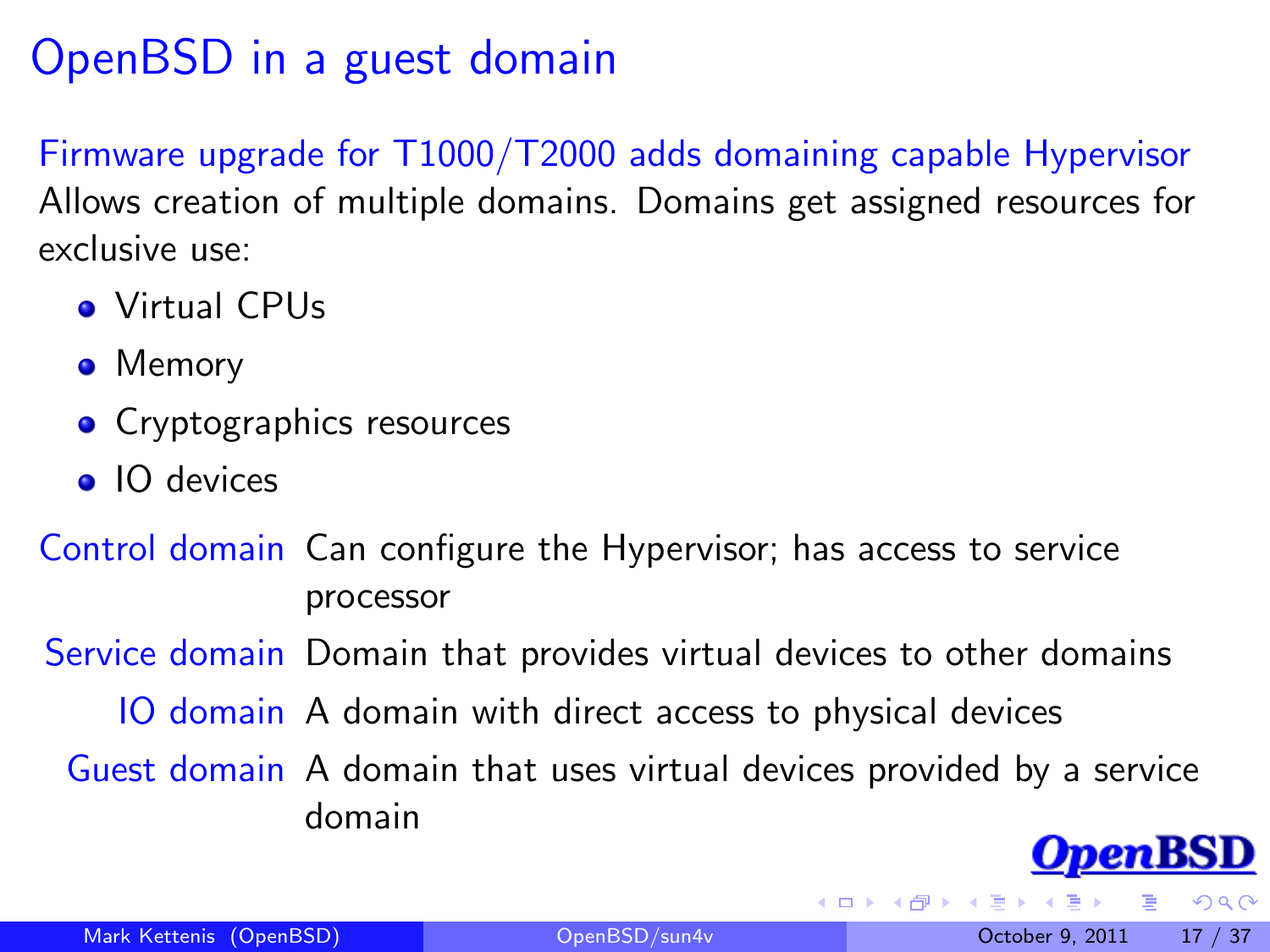## OpenBSD in a guest domain

Firmware upgrade for T1000/T2000 adds domaining capable Hypervisor Allows creation of multiple domains. Domains get assigned resources for exclusive use:

- **Q** Virtual CPUs
- Memory
- Cryptographics resources
- IO devices

Control domain Can configure the Hypervisor; has access to service processor

Service domain Domain that provides virtual devices to other domains

IO domain A domain with direct access to physical devices

Guest domain A domain that uses virtual devices provided by a service domain

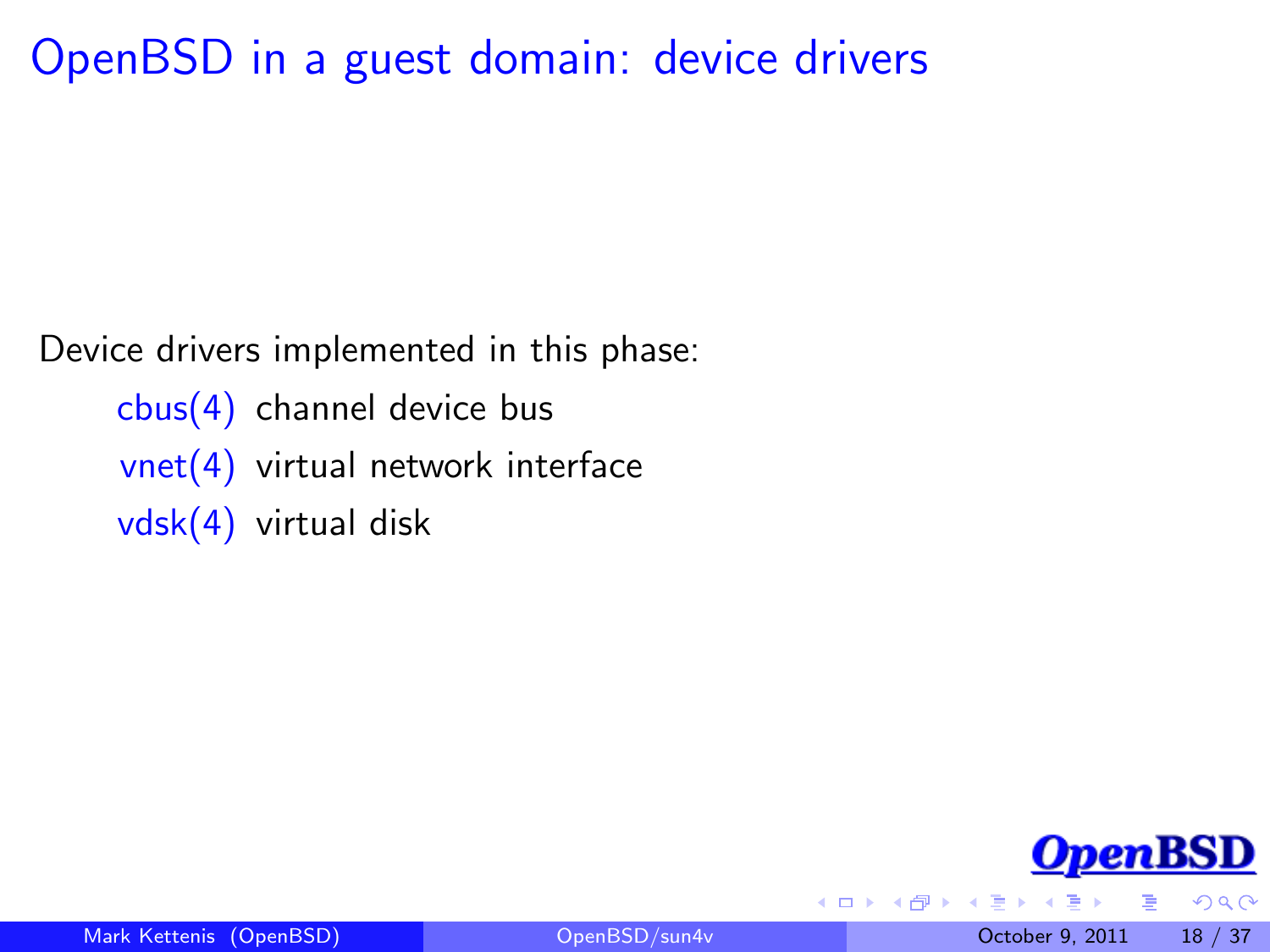#### OpenBSD in a guest domain: device drivers

Device drivers implemented in this phase:

 $cbus(4)$  channel device bus vnet(4) virtual network interface vdsk(4) virtual disk



 $QQ$ 

4 0 8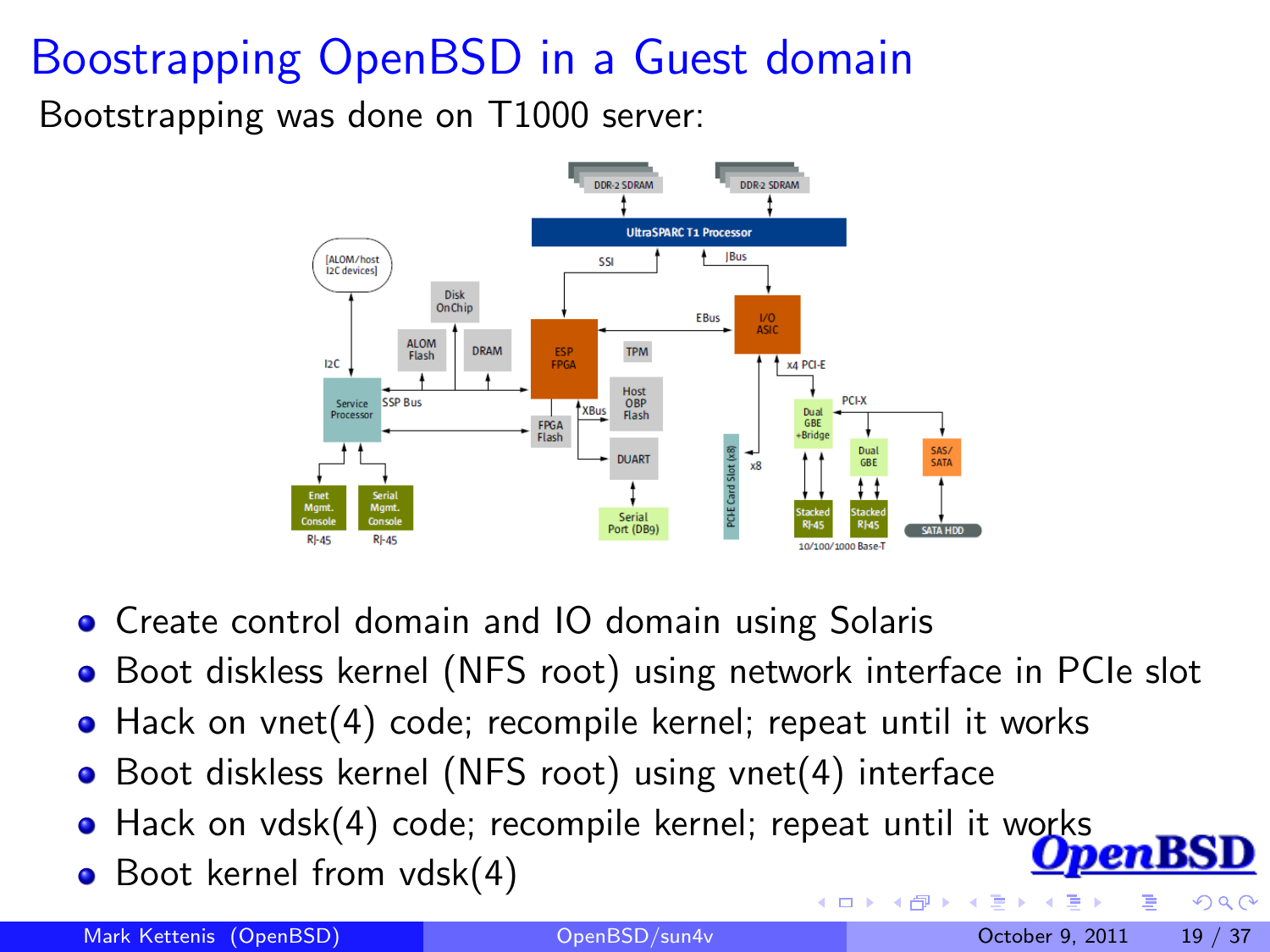# Boostrapping OpenBSD in a Guest domain

Bootstrapping was done on T1000 server:



- **•** Create control domain and IO domain using Solaris
- Boot diskless kernel (NFS root) using network interface in PCIe slot
- Hack on vnet(4) code; recompile kernel; repeat until it works
- Boot diskless kernel (NFS root) using vnet(4) interface
- Hack on vdsk(4) code; recompile kernel; repeat until it works
- Boot kernel from vdsk(4)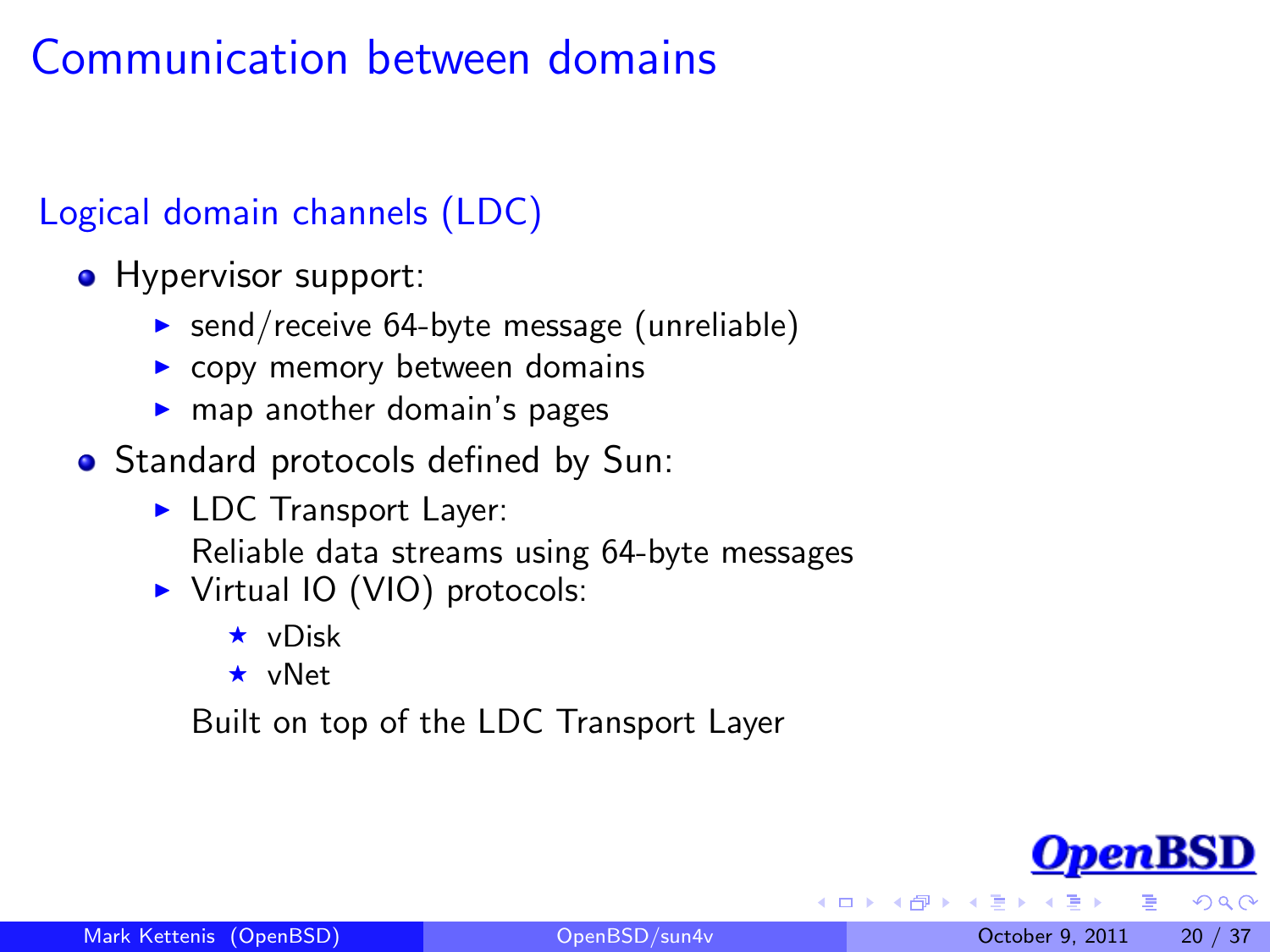## Communication between domains

#### Logical domain channels (LDC)

- Hypervisor support:
	- $\triangleright$  send/receive 64-byte message (unreliable)
	- $\triangleright$  copy memory between domains
	- $\blacktriangleright$  map another domain's pages
- Standard protocols defined by Sun:
	- $\blacktriangleright$  LDC Transport Layer: Reliable data streams using 64-byte messages
	- ▶ Virtual IO (VIO) protocols:
		- $\star$  vDisk
		- $\star$  vNet

Built on top of the LDC Transport Layer

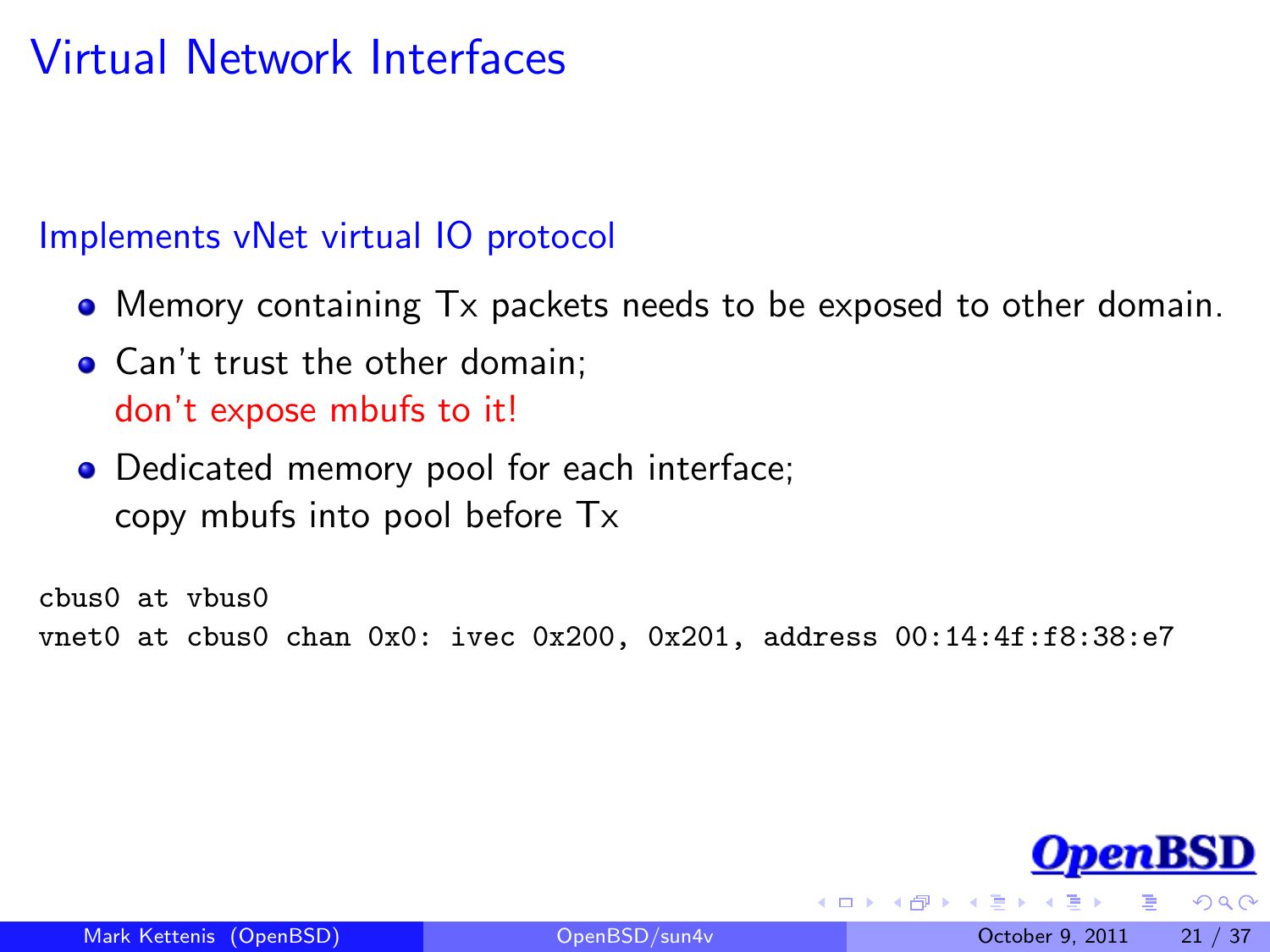## Virtual Network Interfaces

#### Implements vNet virtual IO protocol

- Memory containing Tx packets needs to be exposed to other domain.
- Can't trust the other domain: don't expose mbufs to it!
- Dedicated memory pool for each interface; copy mbufs into pool before Tx

cbus0 at vbus0 vnet0 at cbus0 chan 0x0: ivec 0x200, 0x201, address 00:14:4f:f8:38:e7

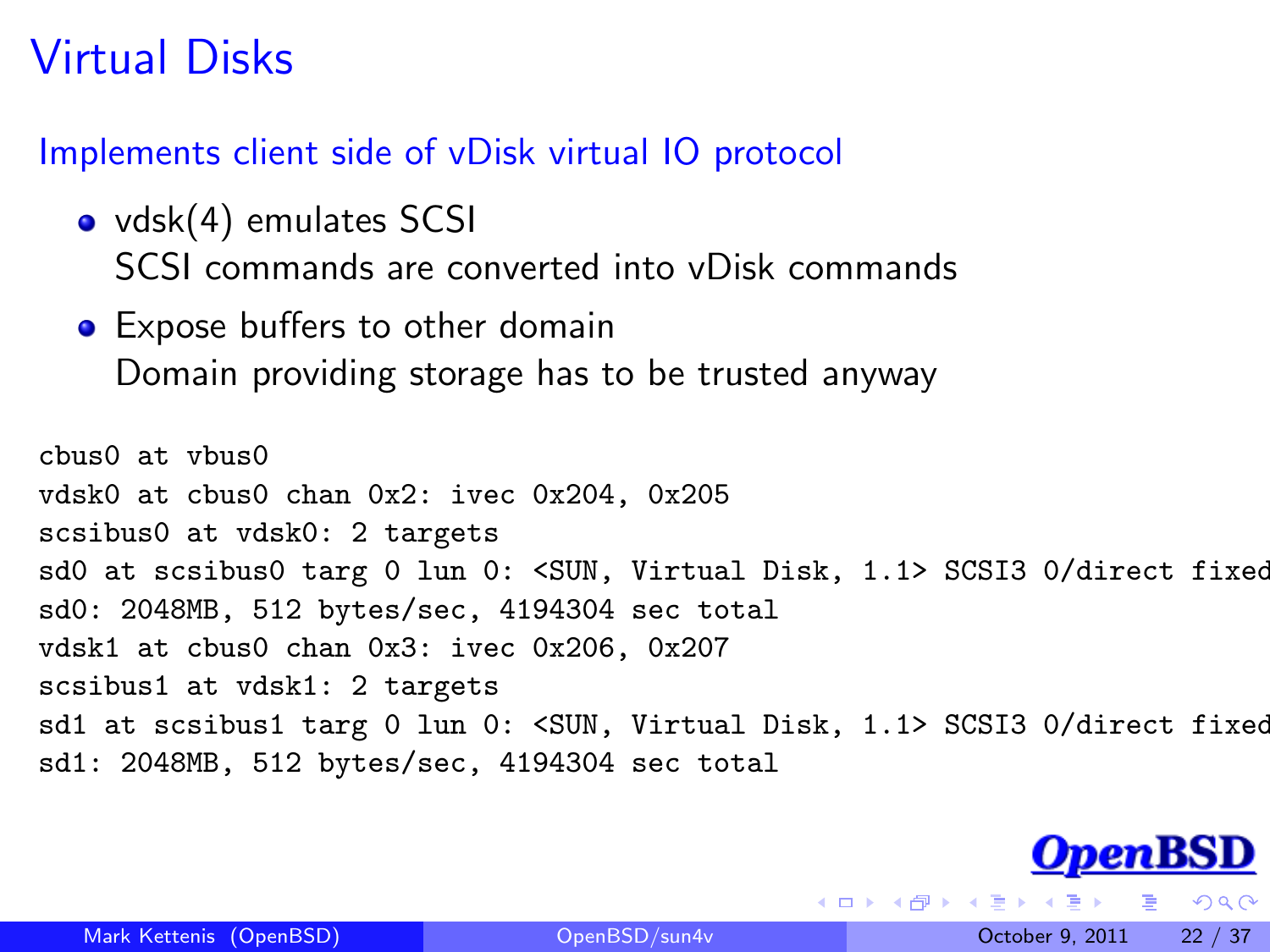## Virtual Disks

Implements client side of vDisk virtual IO protocol

- vdsk(4) emulates SCSI SCSI commands are converted into vDisk commands
- **•** Expose buffers to other domain Domain providing storage has to be trusted anyway

cbus0 at vbus0 vdsk0 at cbus0 chan 0x2: ivec 0x204, 0x205 scsibus0 at vdsk0: 2 targets sd0 at scsibus0 targ 0 lun 0: <SUN, Virtual Disk, 1.1> SCSI3 0/direct fixed sd0: 2048MB, 512 bytes/sec, 4194304 sec total vdsk1 at cbus0 chan 0x3: ivec 0x206, 0x207 scsibus1 at vdsk1: 2 targets sd1 at scsibus1 targ 0 lun 0: <SUN, Virtual Disk, 1.1> SCSI3 0/direct fixed sd1: 2048MB, 512 bytes/sec, 4194304 sec total



 $200$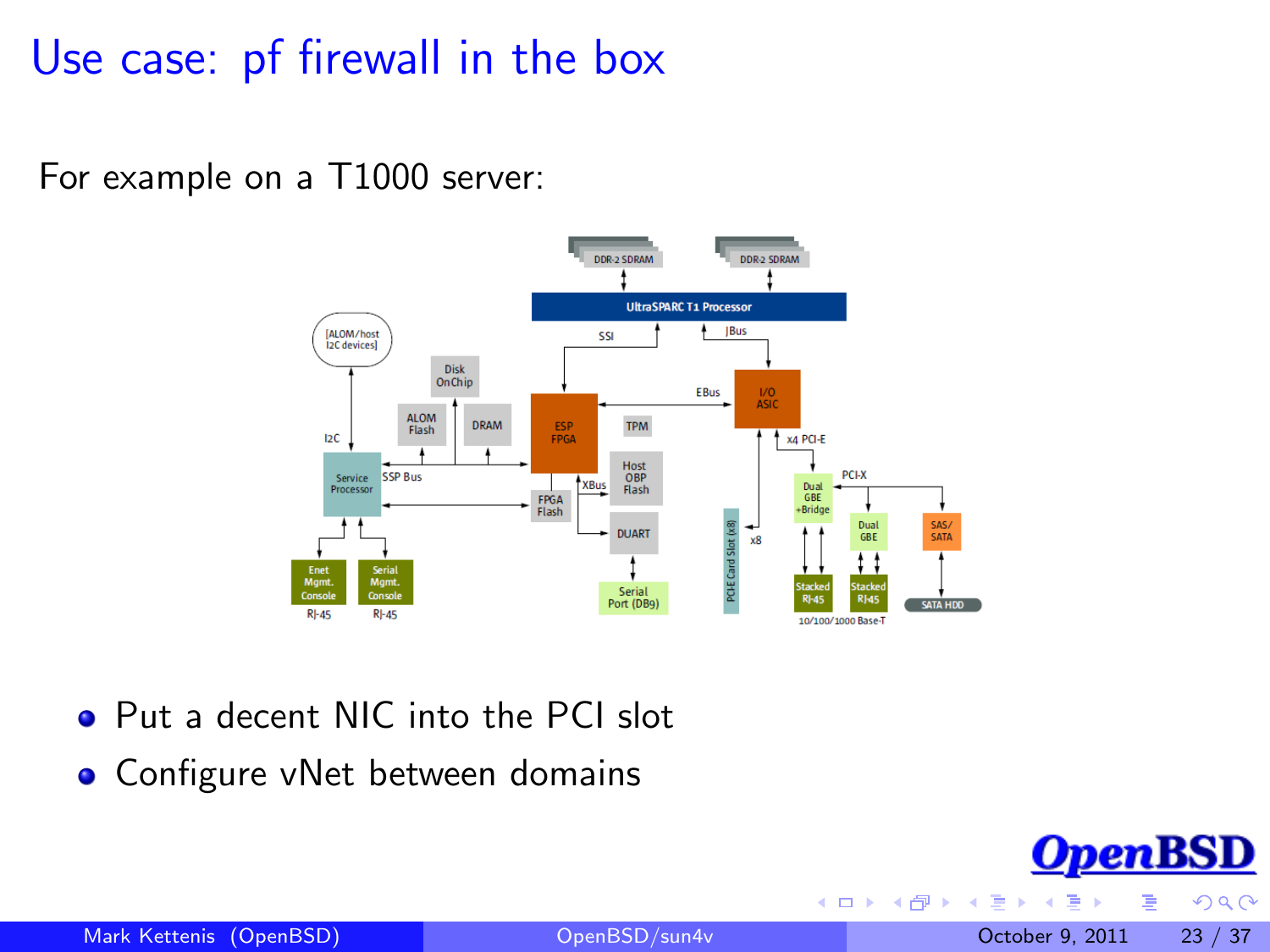#### Use case: pf firewall in the box

For example on a T1000 server:



- **Put a decent NIC into the PCI slot**
- **•** Configure vNet between domains

 $\leftarrow$ 

 $290$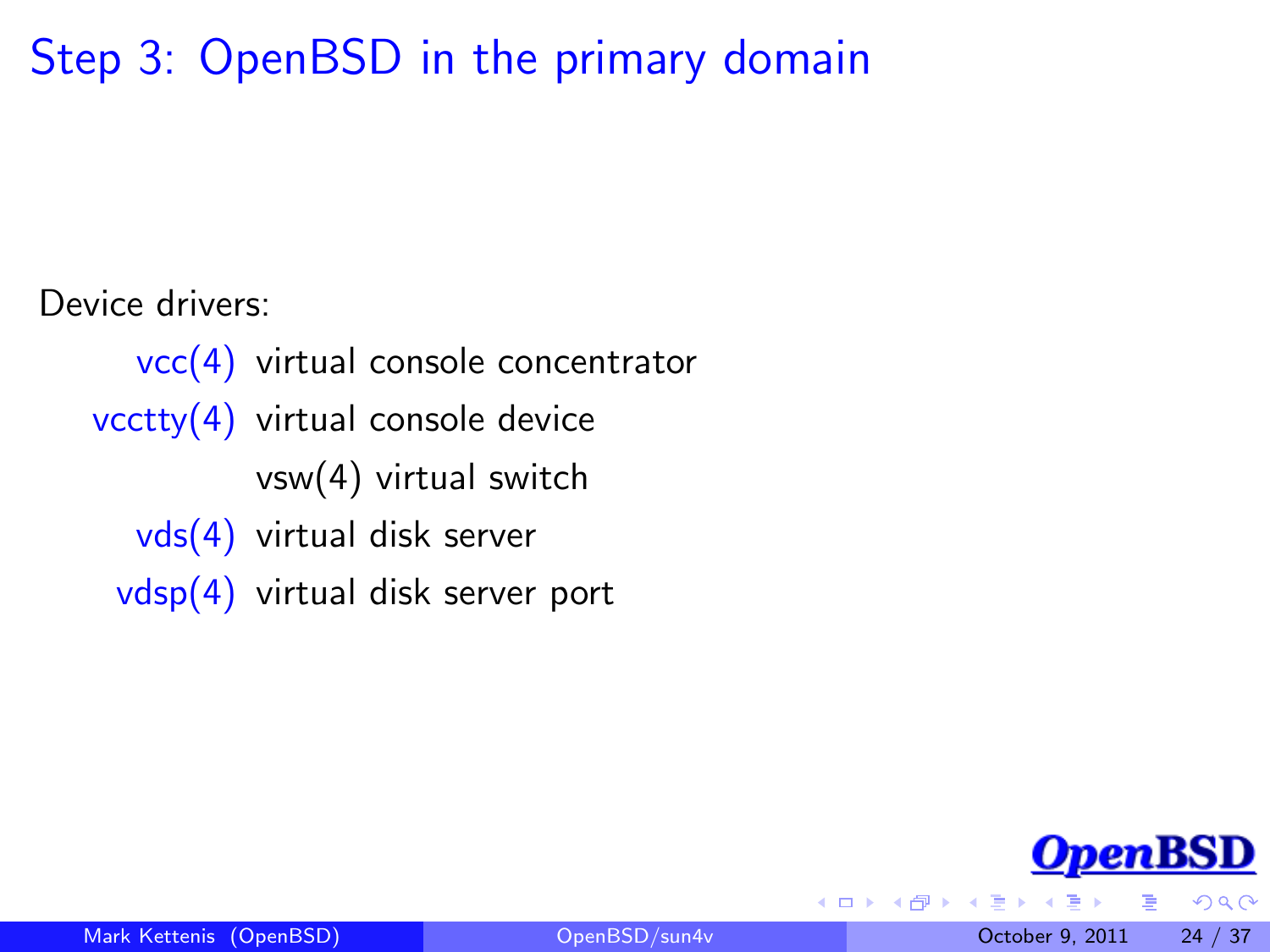## Step 3: OpenBSD in the primary domain

Device drivers:

vcc(4) virtual console concentrator vcctty(4) virtual console device vsw(4) virtual switch vds(4) virtual disk server vdsp(4) virtual disk server port



<span id="page-23-0"></span> $\Omega$ 

 $\leftarrow$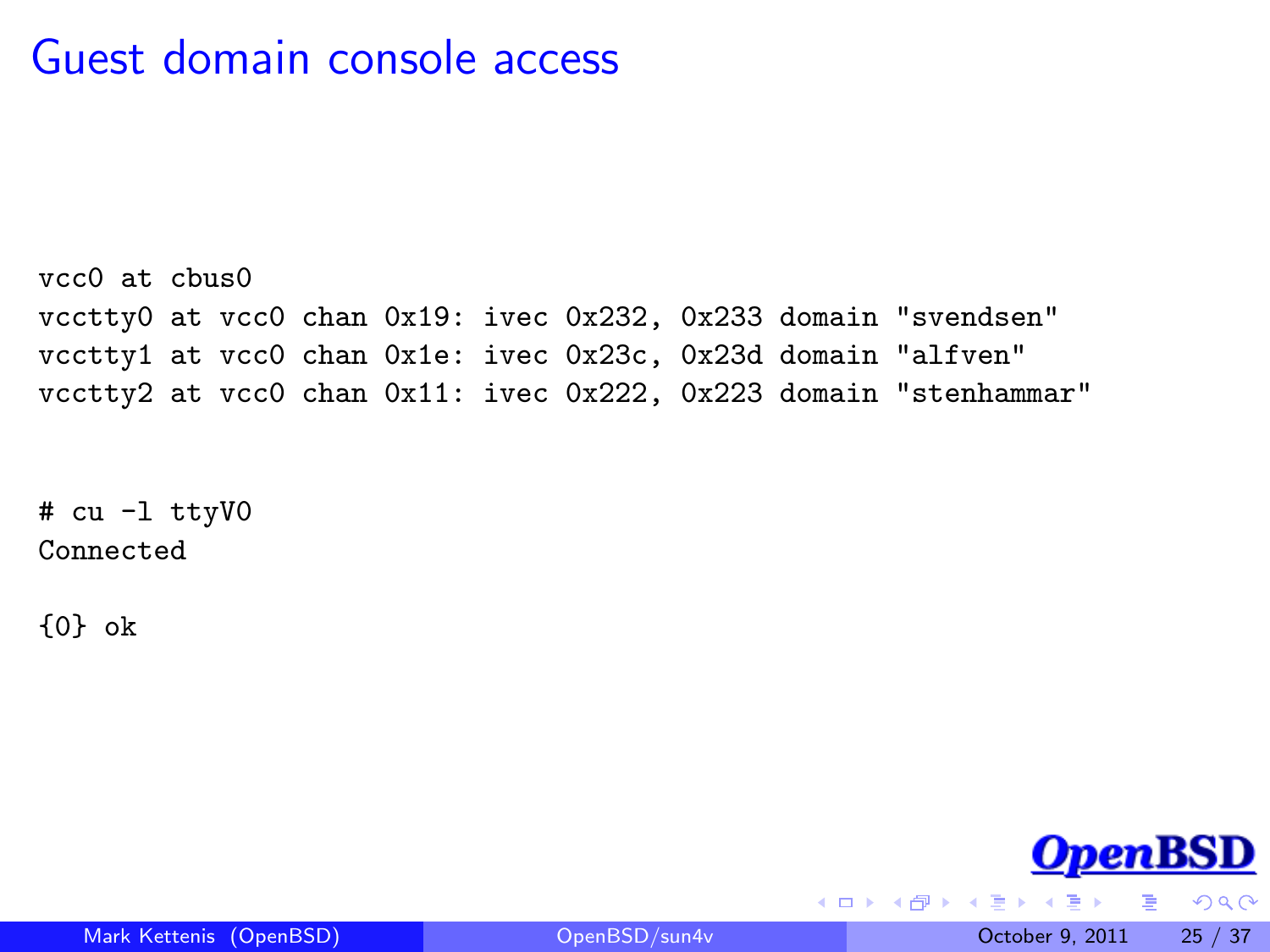#### Guest domain console access

vcc0 at cbus0 vcctty0 at vcc0 chan 0x19: ivec 0x232, 0x233 domain "svendsen" vcctty1 at vcc0 chan 0x1e: ivec 0x23c, 0x23d domain "alfven" vcctty2 at vcc0 chan 0x11: ivec 0x222, 0x223 domain "stenhammar"

# cu -l ttyV0 Connected

{0} ok



 $2990$ 

∢ □ ▶ ∢ <sub>□</sub> ▶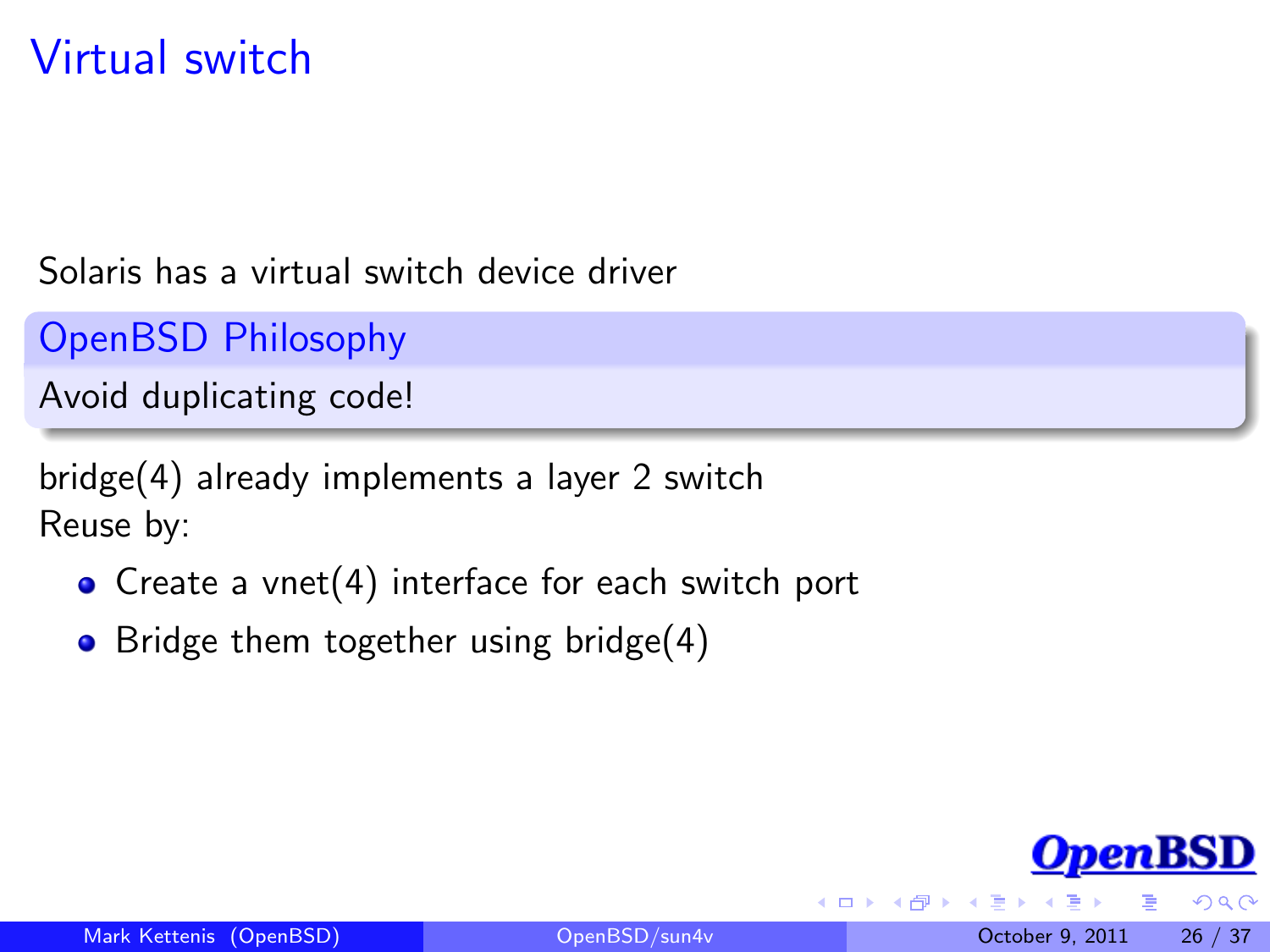## Virtual switch

Solaris has a virtual switch device driver

OpenBSD Philosophy

Avoid duplicating code!

bridge(4) already implements a layer 2 switch Reuse by:

- Create a vnet(4) interface for each switch port
- Bridge them together using bridge $(4)$

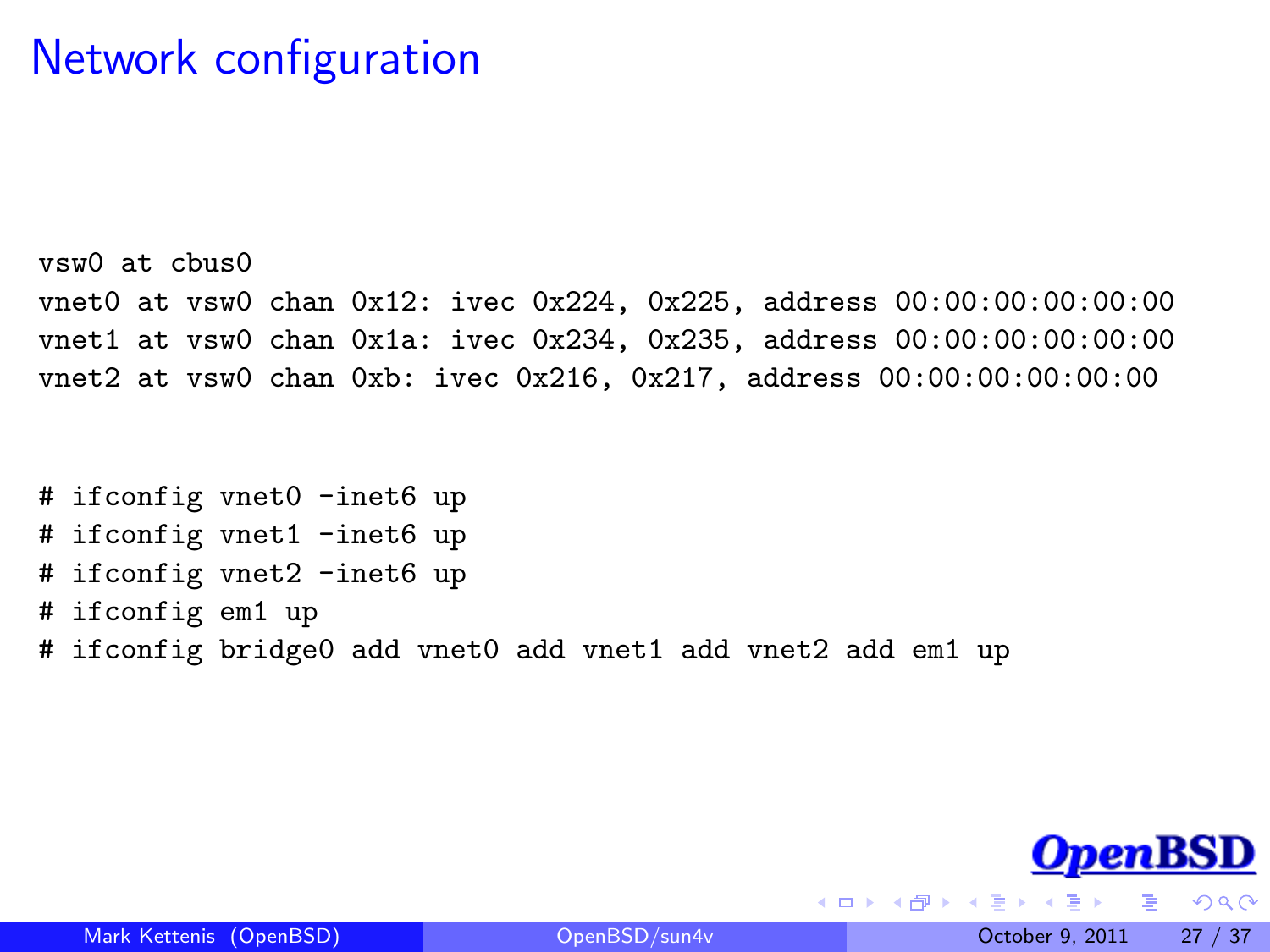#### Network configuration

vsw0 at cbus0 vnet0 at vsw0 chan 0x12: ivec 0x224, 0x225, address 00:00:00:00:00:00 vnet1 at vsw0 chan 0x1a: ivec 0x234, 0x235, address 00:00:00:00:00:00 vnet2 at vsw0 chan 0xb: ivec 0x216, 0x217, address 00:00:00:00:00:00

```
# ifconfig vnet0 -inet6 up
# ifconfig vnet1 -inet6 up
# ifconfig vnet2 -inet6 up
# ifconfig em1 up
# ifconfig bridge0 add vnet0 add vnet1 add vnet2 add em1 up
```


 $200$ 

4 D F

 $\rightarrow$   $\overline{=}$   $\rightarrow$   $\rightarrow$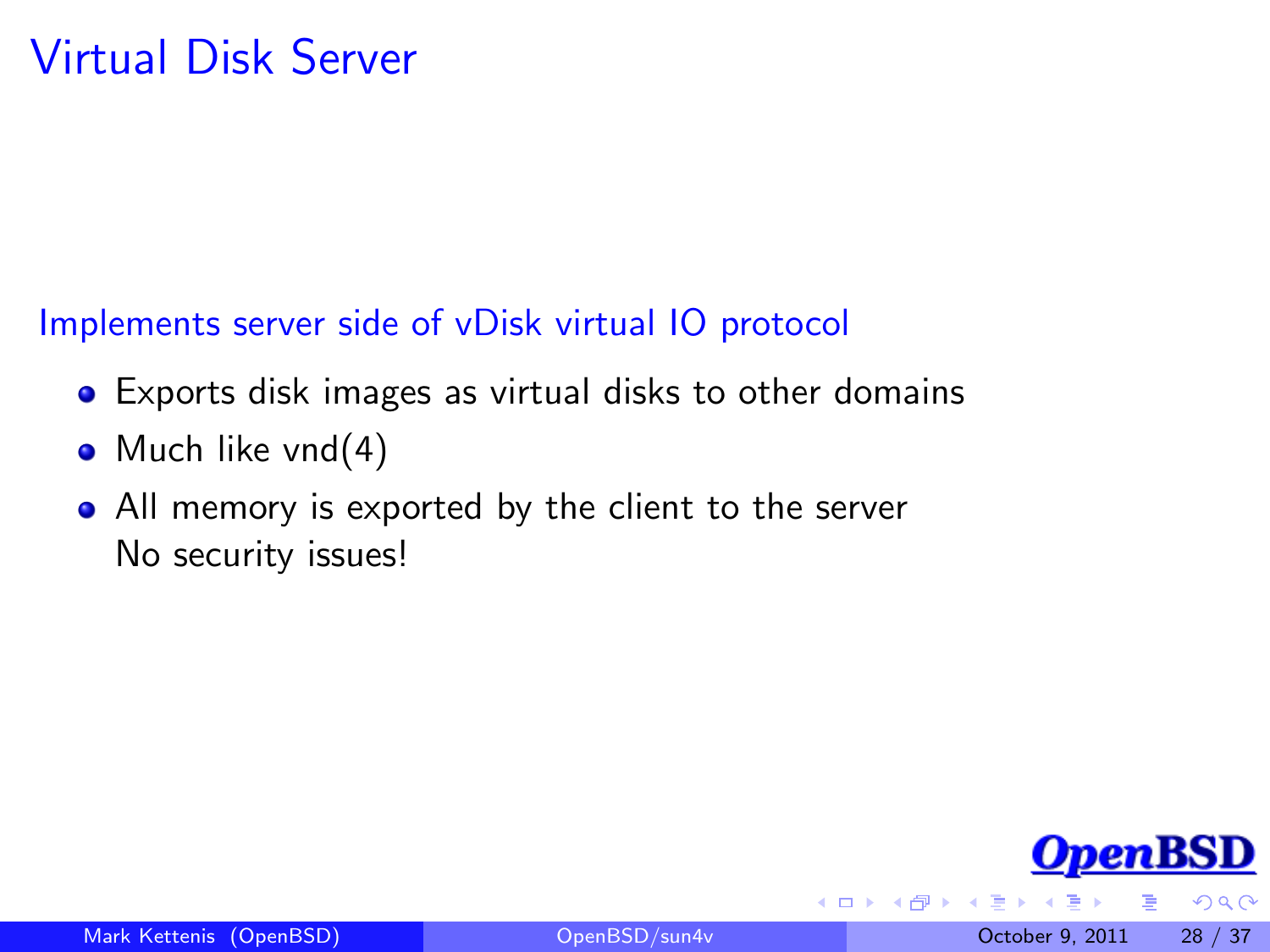## Virtual Disk Server

#### Implements server side of vDisk virtual IO protocol

- Exports disk images as virtual disks to other domains
- Much like  $vnd(4)$
- All memory is exported by the client to the server No security issues!



 $\Omega$ 

4 0 8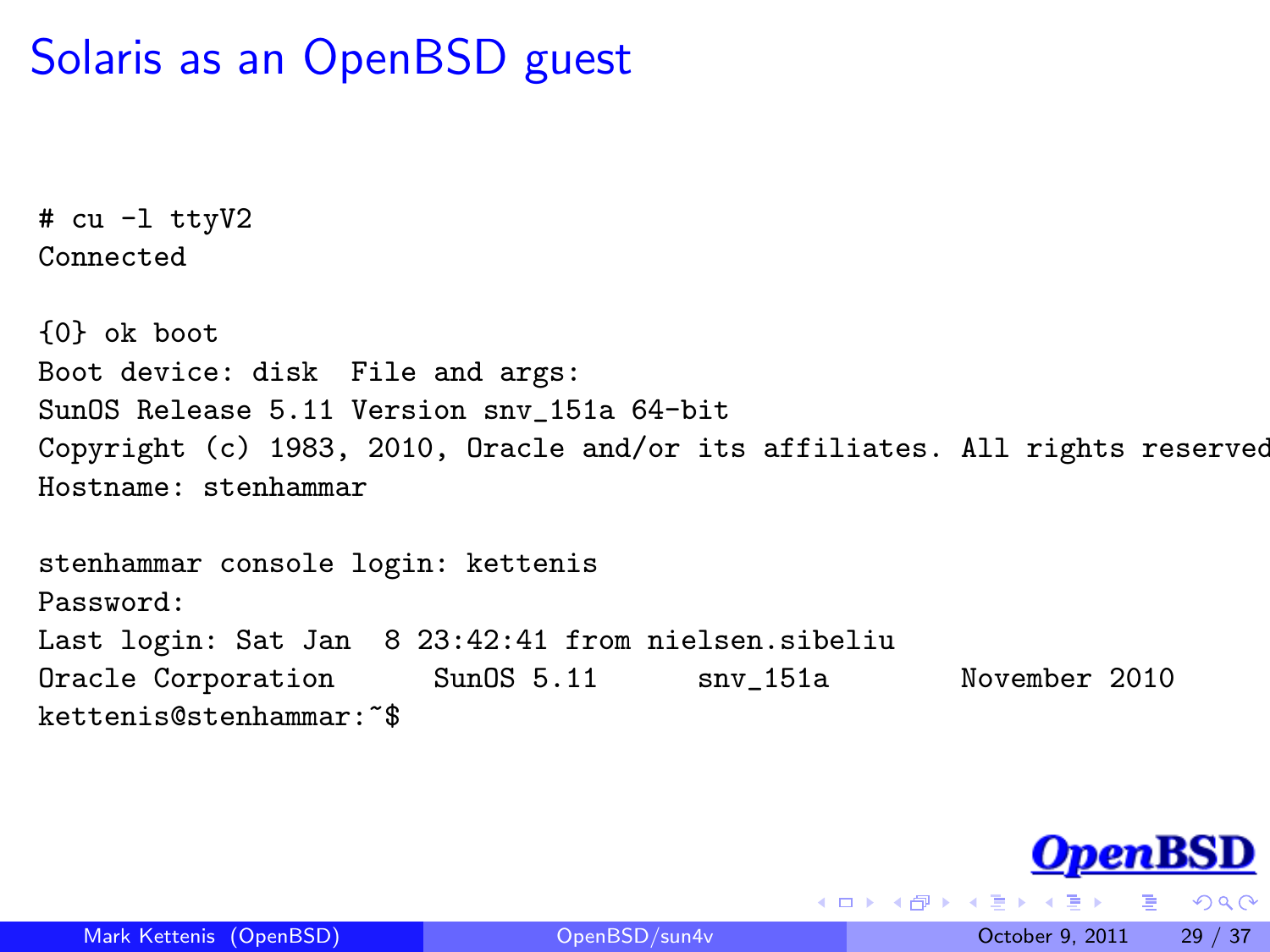#### Solaris as an OpenBSD guest

```
# cu -l ttyV2
Connected
```
{0} ok boot Boot device: disk File and args: SunOS Release 5.11 Version snv\_151a 64-bit Copyright (c) 1983, 2010, Oracle and/or its affiliates. All rights reserved. Hostname: stenhammar stenhammar console login: kettenis Password: Last login: Sat Jan 8 23:42:41 from nielsen.sibeliu

Oracle Corporation SunOS 5.11 snv\_151a November 2010 kettenis@stenhammar:~\$



 $2990$ 

**K ロ ト K 何 ト K ヨ ト**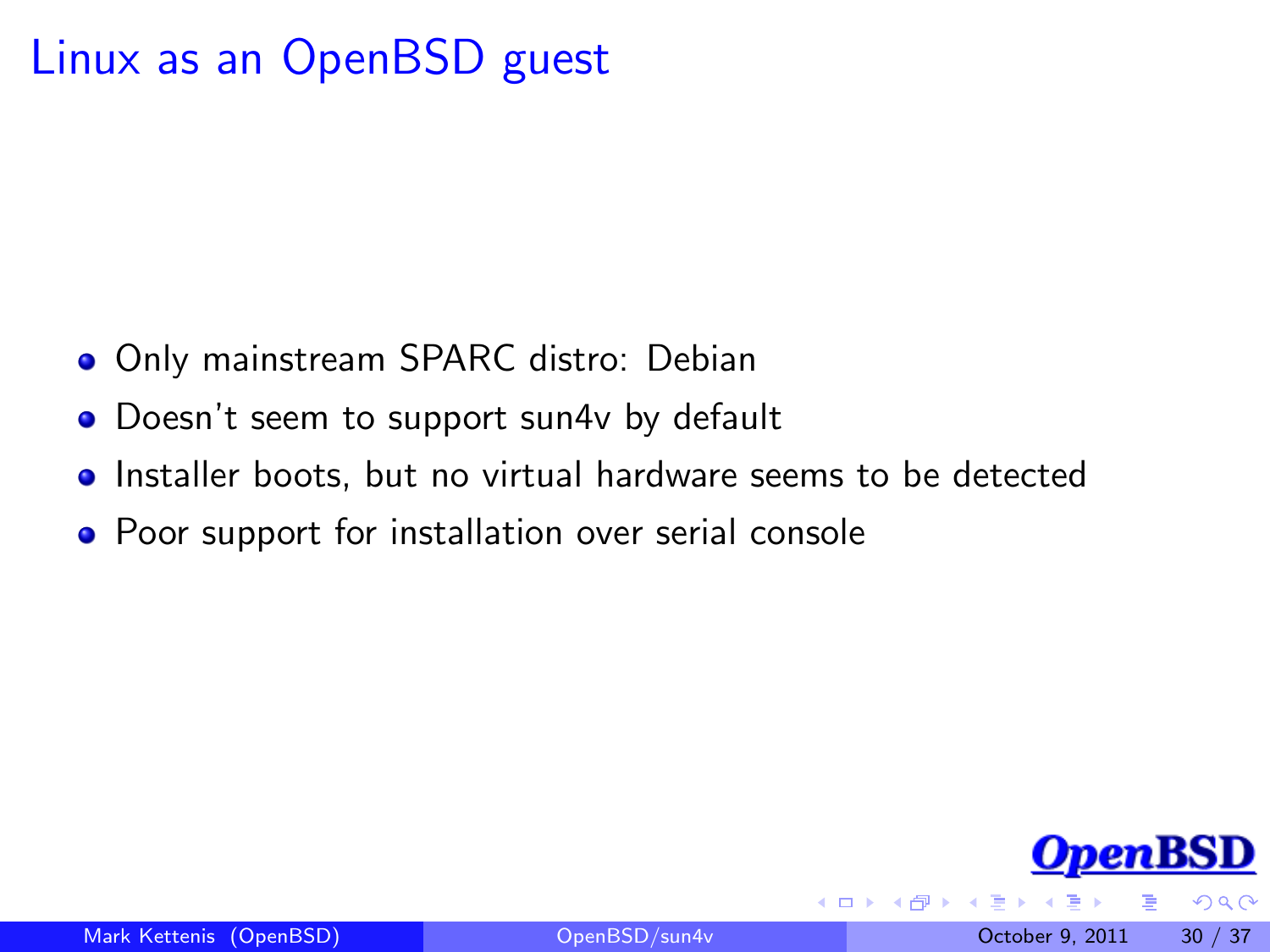#### Linux as an OpenBSD guest

- **Only mainstream SPARC distro: Debian**
- Doesn't seem to support sun4v by default
- **•** Installer boots, but no virtual hardware seems to be detected
- Poor support for installation over serial console

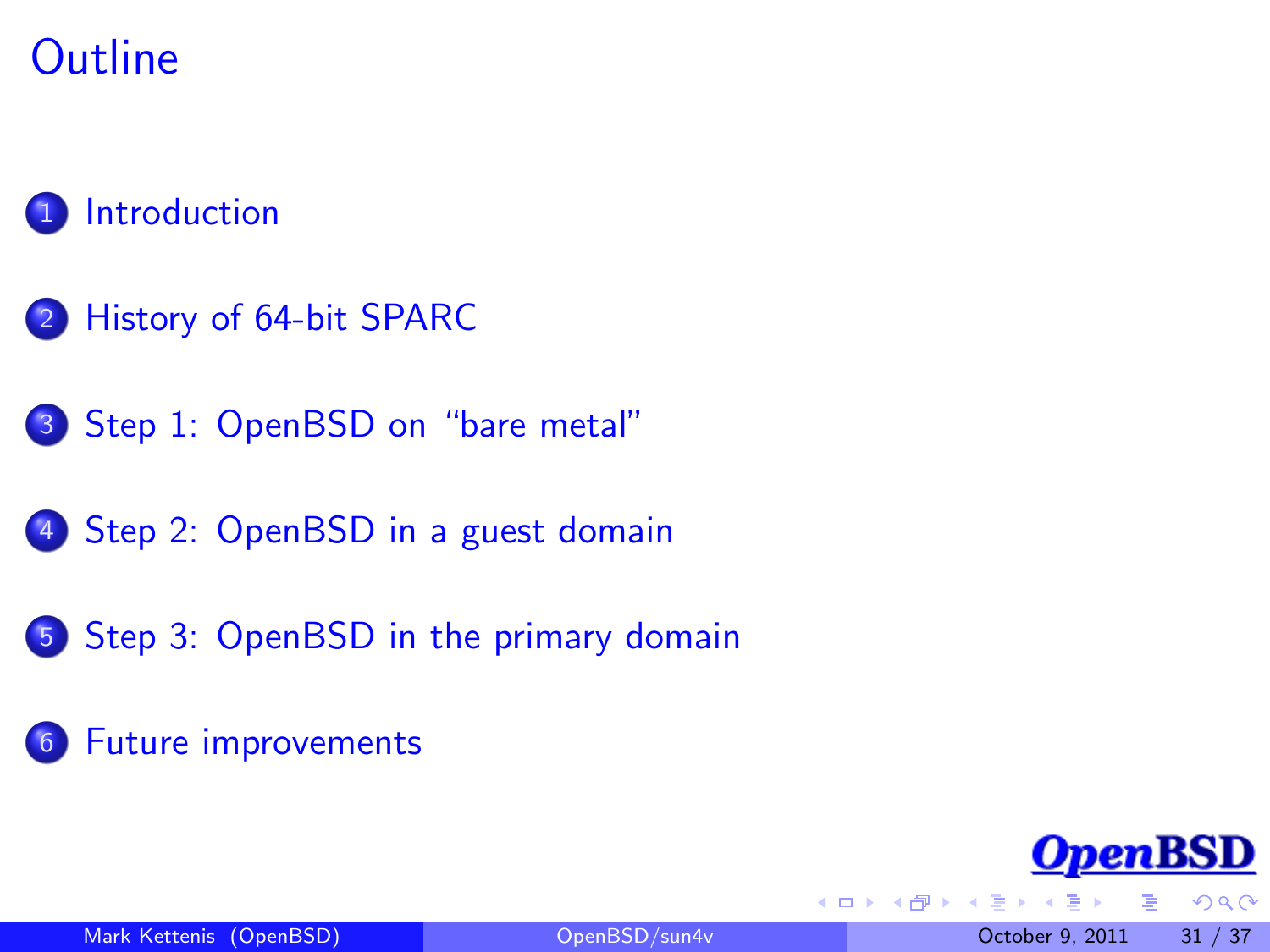## **Outline**

#### **[Introduction](#page-2-0)**

- 2 [History of 64-bit SPARC](#page-3-0)
- 3 [Step 1: OpenBSD on "bare metal"](#page-8-0)
- 4 [Step 2: OpenBSD in a guest domain](#page-15-0)
- 5 [Step 3: OpenBSD in the primary domain](#page-23-0)
- 6 [Future improvements](#page-30-0)



<span id="page-30-0"></span> $200$ 

4 0 8

n ⊳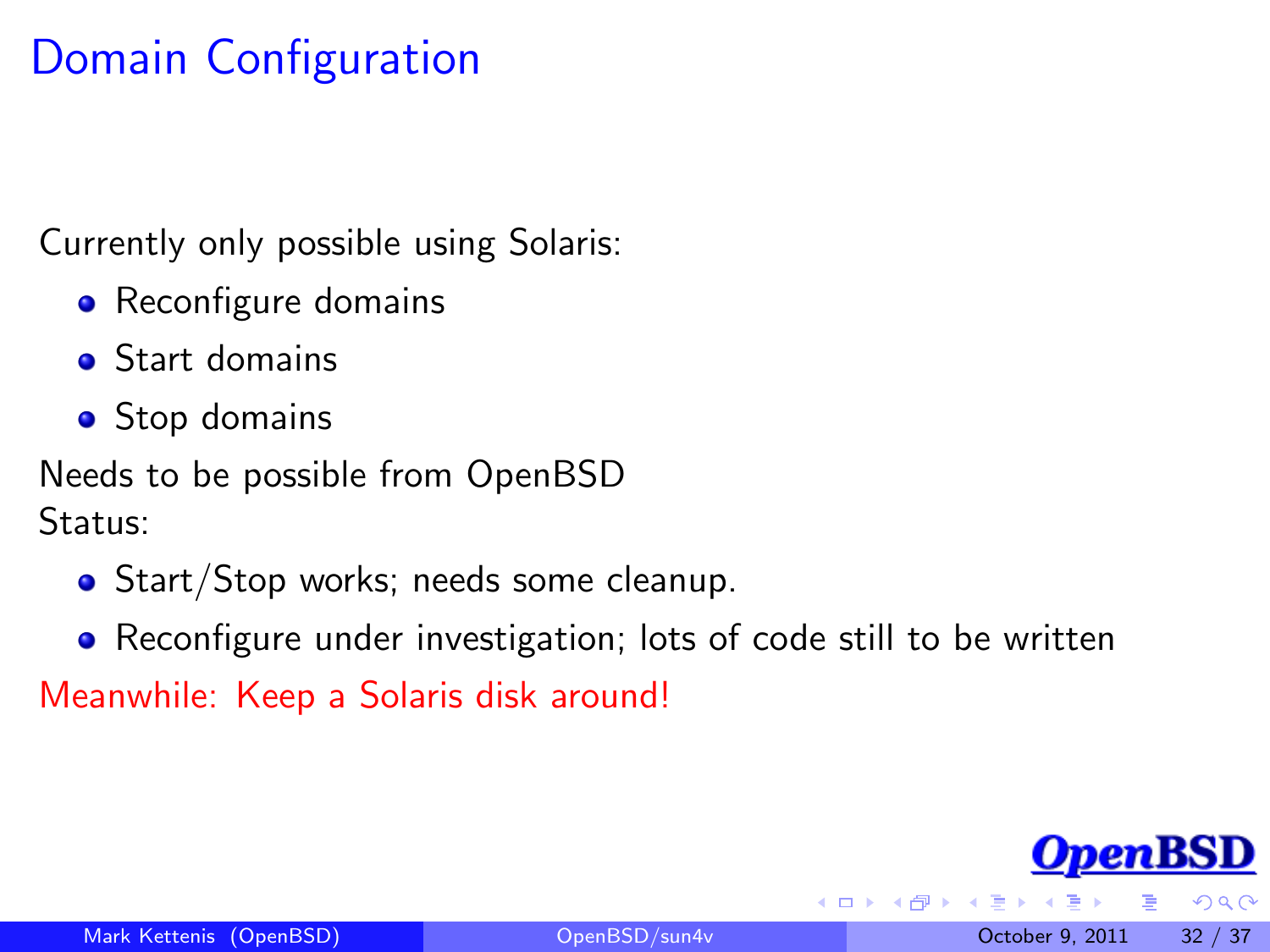## Domain Configuration

Currently only possible using Solaris:

- Reconfigure domains
- Start domains
- Stop domains

Needs to be possible from OpenBSD Status:

- Start/Stop works; needs some cleanup.
- Reconfigure under investigation; lots of code still to be written

Meanwhile: Keep a Solaris disk around!

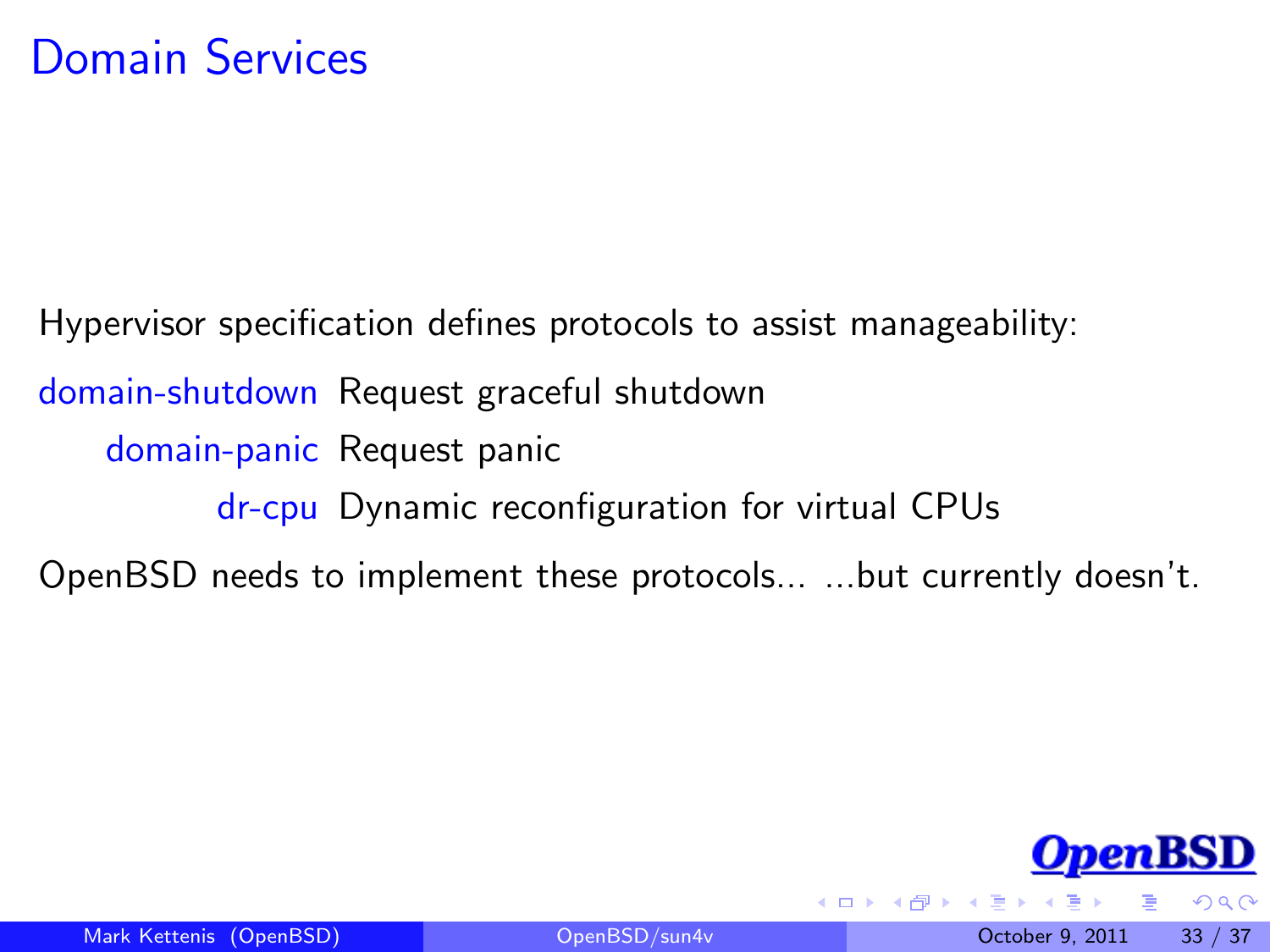Hypervisor specification defines protocols to assist manageability: domain-shutdown Request graceful shutdown domain-panic Request panic dr-cpu Dynamic reconfiguration for virtual CPUs OpenBSD needs to implement these protocols... ...but currently doesn't.



<span id="page-32-0"></span> $\Omega$ 

4 **D** F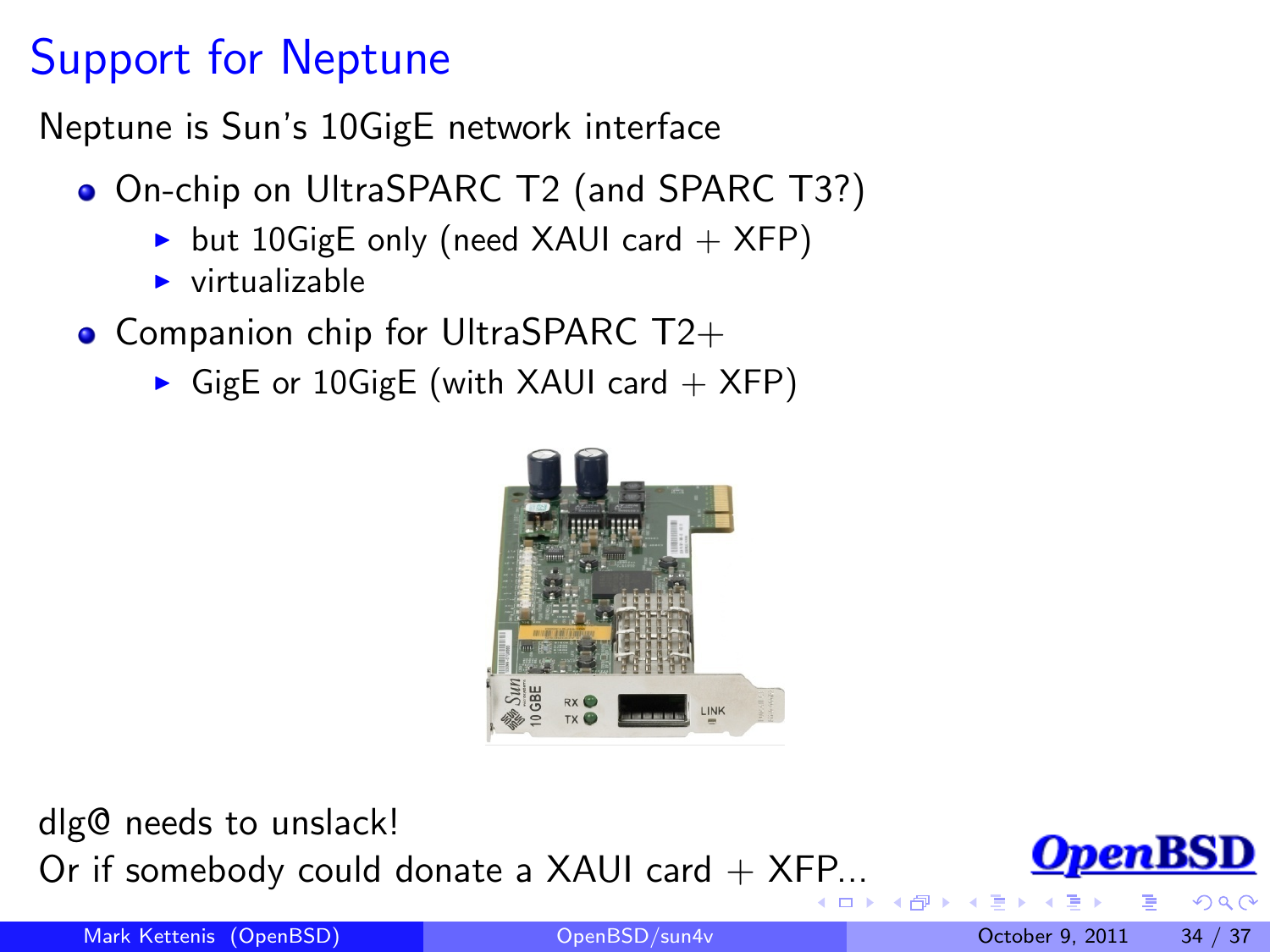## Support for Neptune

Neptune is Sun's 10GigE network interface

- On-chip on UltraSPARC T2 (and SPARC T3?)
	- but 10GigE only (need XAUI card  $+$  XFP)
	- $\triangleright$  virtualizable
- Companion chip for UltraSPARC  $T2+$ 
	- GigE or 10GigE (with XAUI card  $+$  XFP)



dlg@ needs to unslack! Or if somebody could donate a XAUI card  $+$  X[FP.](#page-32-0)[.](#page-34-0).



 $\Omega$ 

Mark Kettenis (OpenBSD) [OpenBSD/sun4v](#page-0-0) October 9, 2011 34 / 37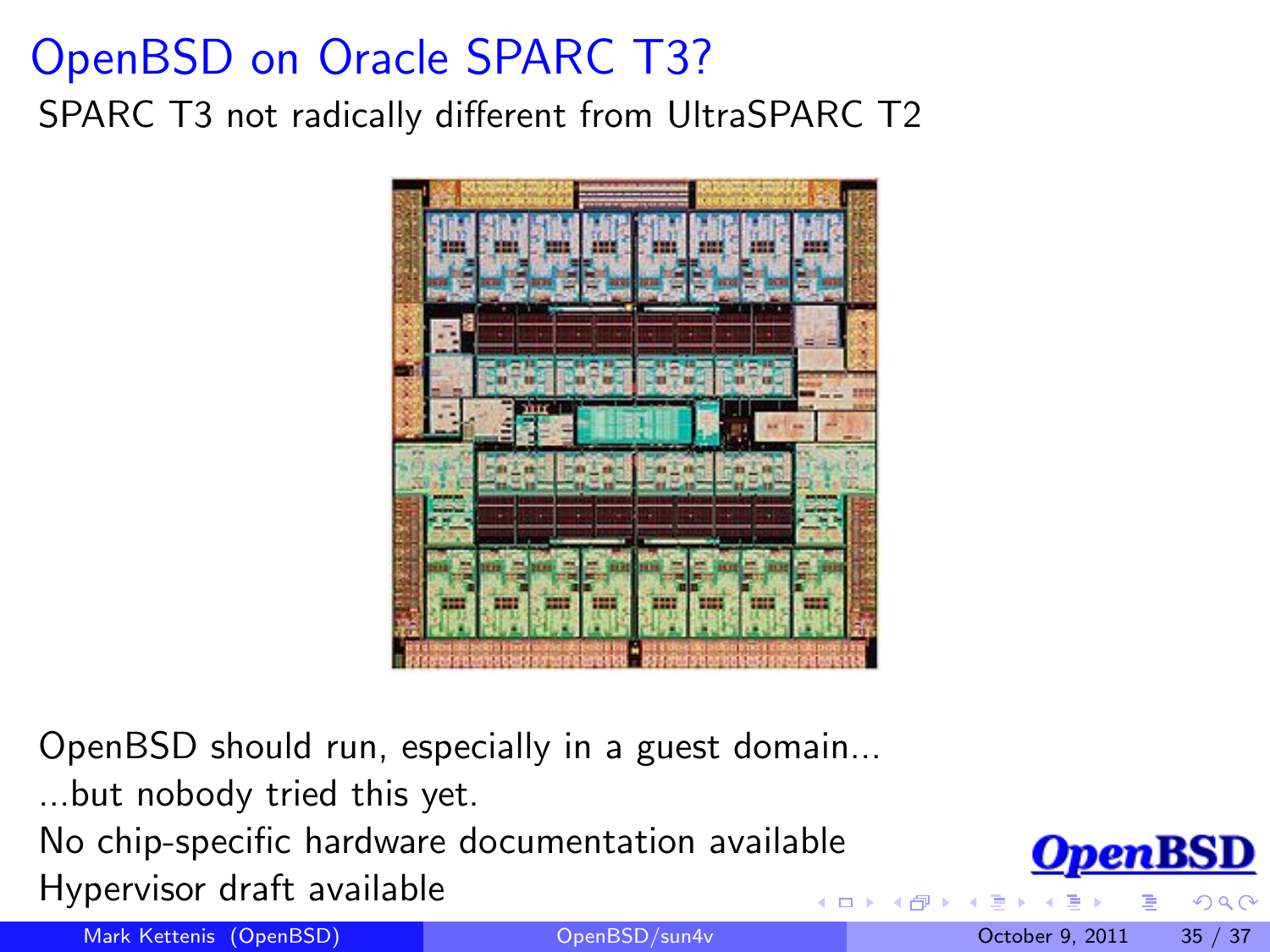# OpenBSD on Oracle SPARC T3?

SPARC T3 not radically different from UltraSPARC T2



OpenBSD should run, especially in a guest domain...

...but nobody tried this yet.

No chip-specific hardware documentation available Hypervisor draft available

Mark Kettenis (OpenBSD) [OpenBSD/sun4v](#page-0-0) October 9, 2011 35 / 37

<span id="page-34-0"></span>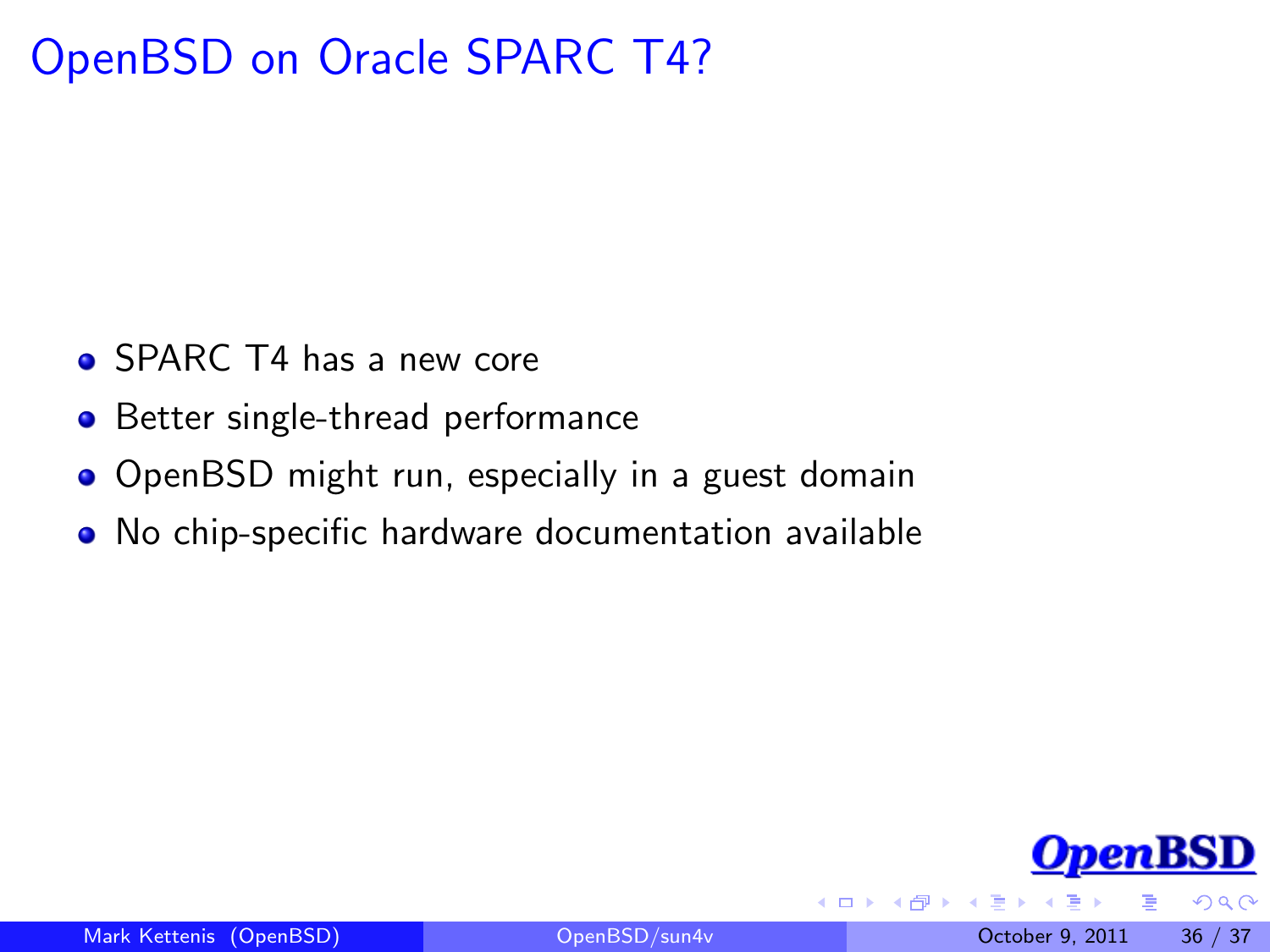## OpenBSD on Oracle SPARC T4?

- SPARC T4 has a new core
- Better single-thread performance
- OpenBSD might run, especially in a guest domain
- No chip-specific hardware documentation available



 $\Omega$ 

 $\leftarrow$